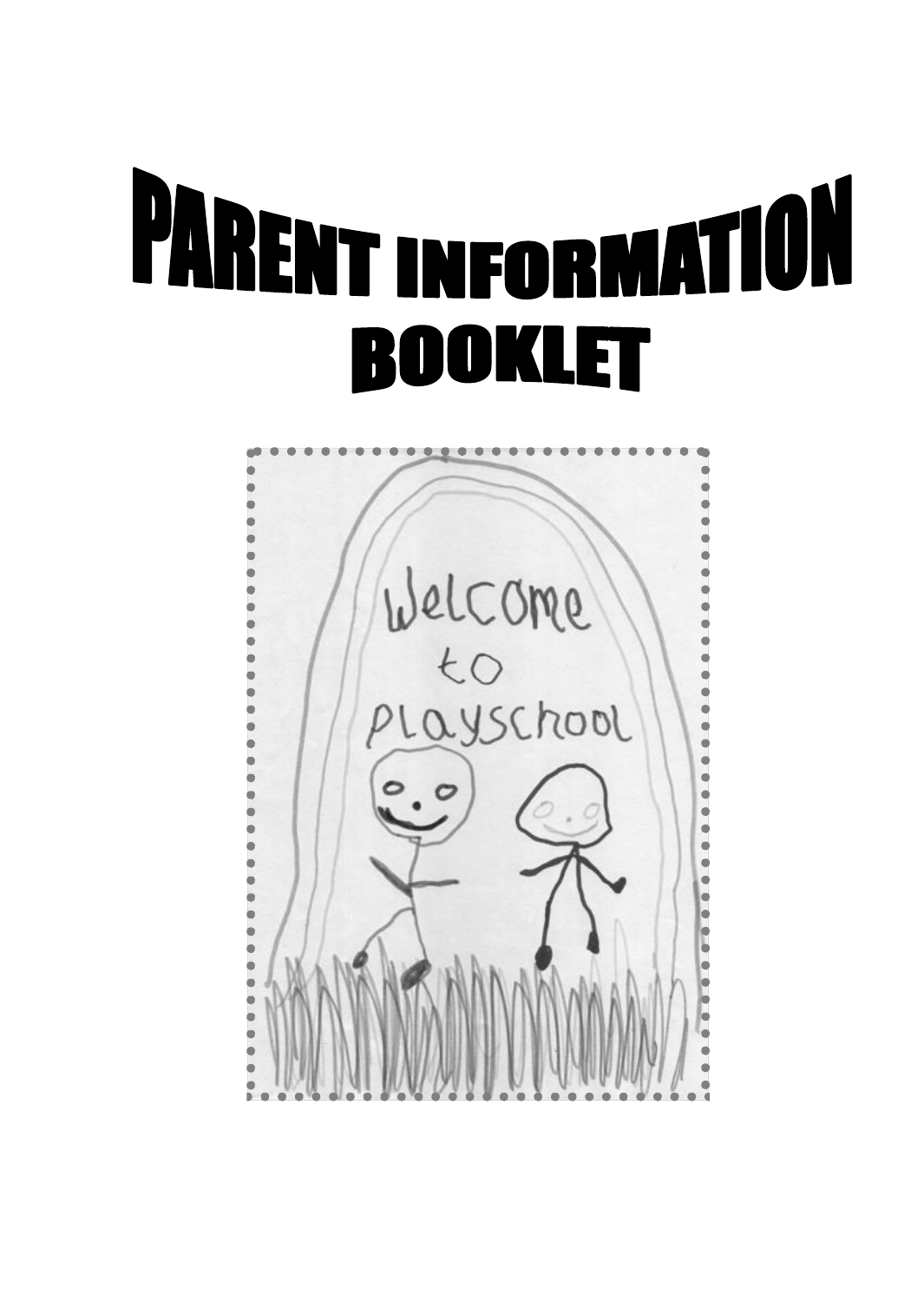# **PARENT INFORMATION JOKLET** K

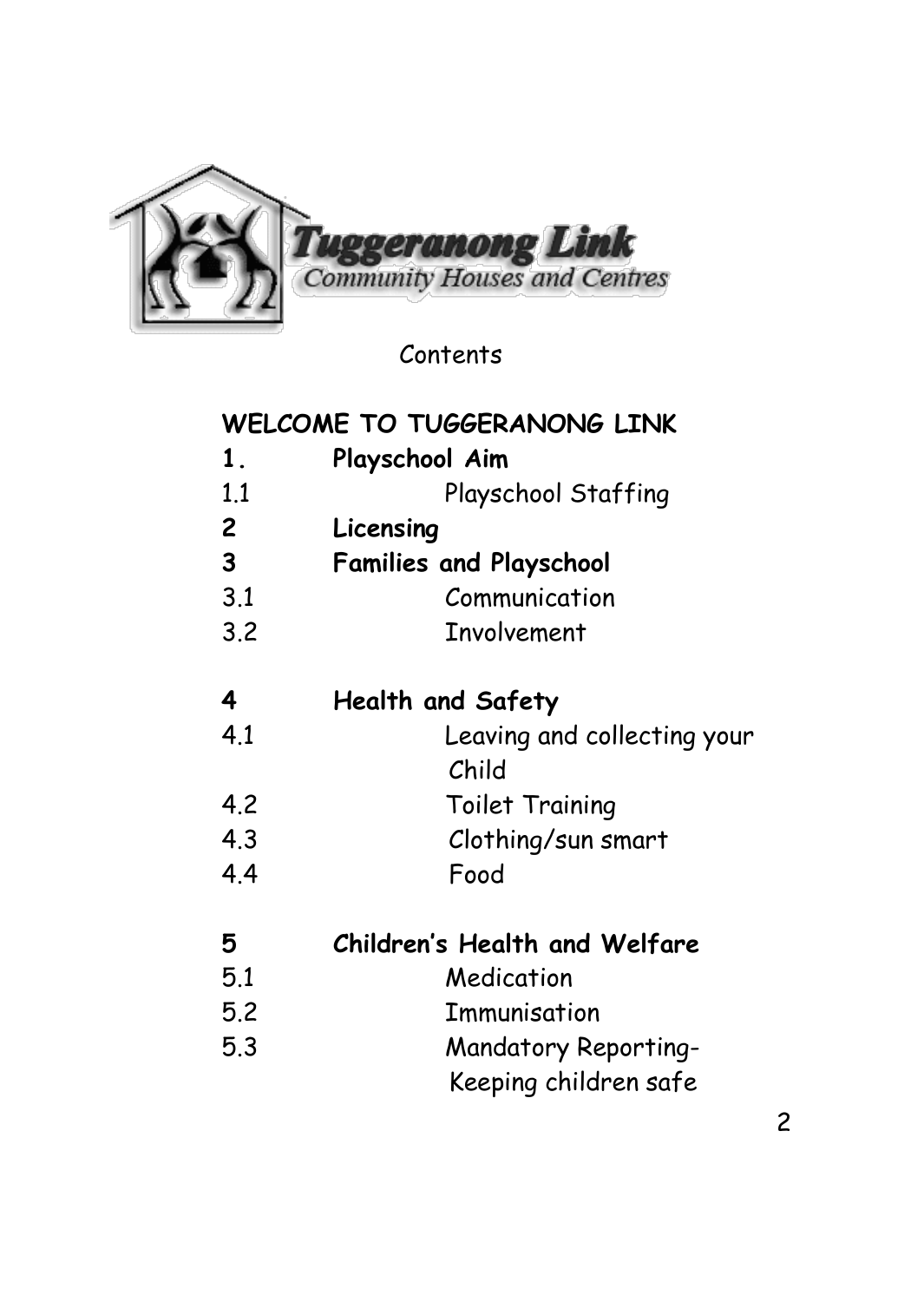

Contents

#### **WELCOME TO TUGGERANONG LINK**

- **1. Playschool Aim** 1.1 Playschool Staffing **2 Licensing 3 Families and Playschool** 3.1 Communication 3.2 Involvement **4 Health and Safety** 4.1 Leaving and collecting your
- Child 4.2 Toilet Training 4.3 Clothing/sun smart 4.4 Food
- **5 Children's Health and Welfare** 5.1 Medication 5.2 Immunisation 5.3 Mandatory Reporting- Keeping children safe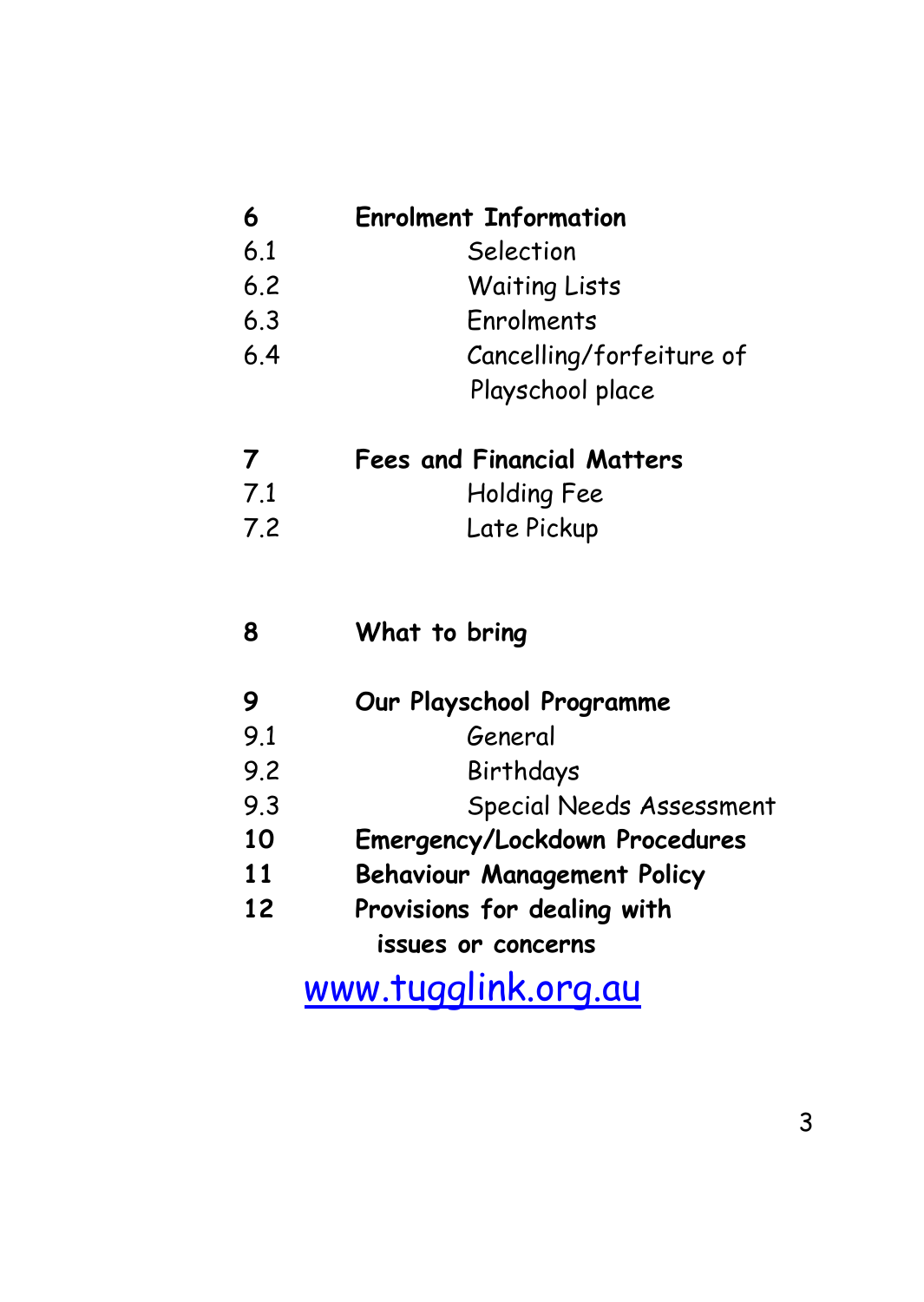| 6   | <b>Enrolment Information</b>  |
|-----|-------------------------------|
| 6.1 | Selection                     |
| 6.2 | <b>Waiting Lists</b>          |
| 6.3 | Fnrolments                    |
| 6.4 | Cancelling/forfeiture of      |
|     | Playschool place              |
| 7   | Fees and Financial Matters    |
| 7.1 | Holding Fee                   |
| 7.2 | Late Pickup                   |
| 8   | What to bring                 |
| 9   | Our Playschool Programme      |
| 9.1 | General                       |
| 9.2 | Birthdays                     |
| 9.3 | Special Needs Assessment      |
| 10  | Emergency/Lockdown Procedures |

- **11 Behaviour Management Policy**
- **12 Provisions for dealing with issues or concerns**

[www.tugglink.org.au](http://www.tugglink.org.au/)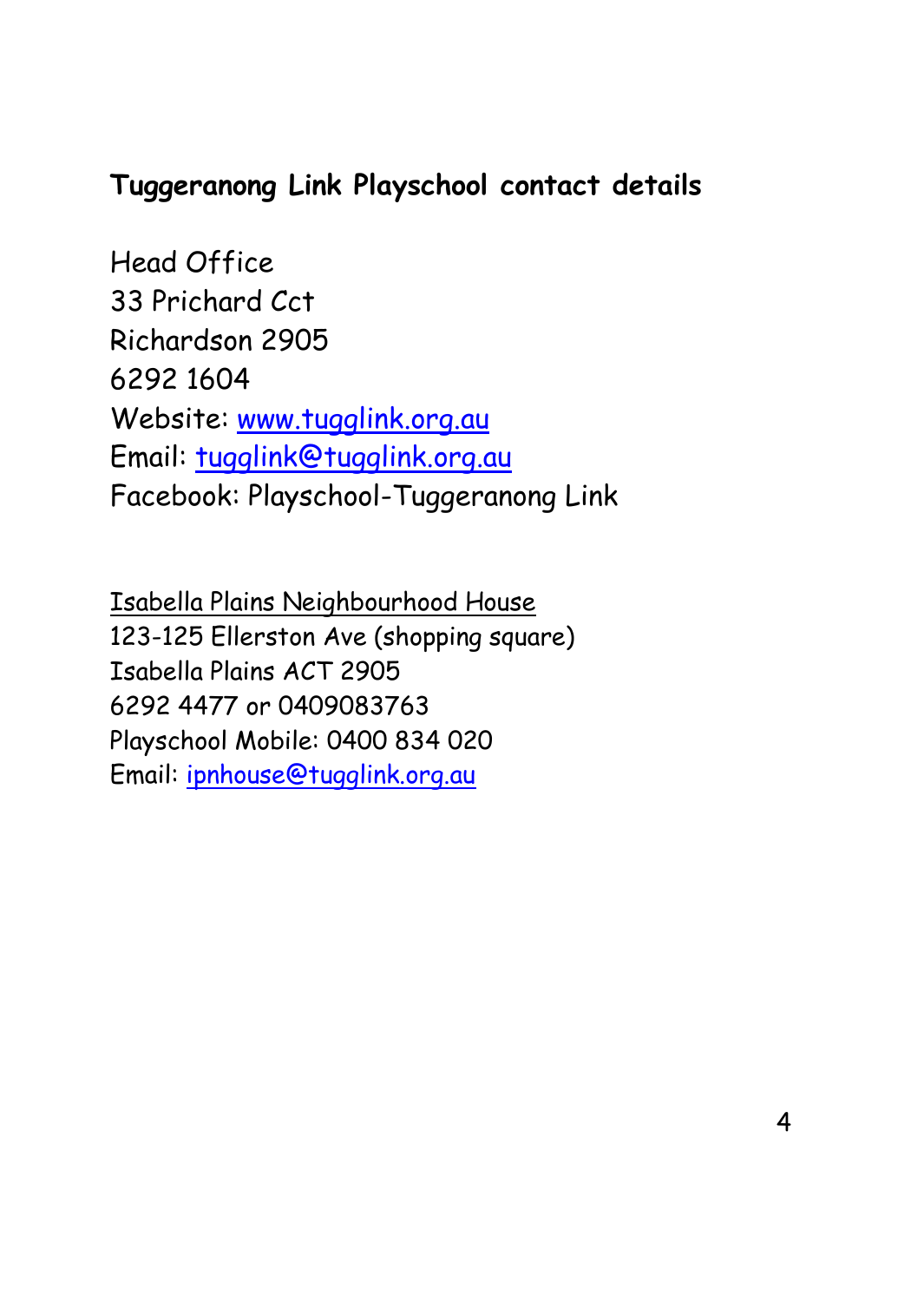#### **Tuggeranong Link Playschool contact details**

Head Office 33 Prichard Cct Richardson 2905 6292 1604 Website: [www.tugglink.org.au](http://www.tugglink.org.au/) Email: [tugglink@tugglink.org.au](mailto:tugglink@tugglink.org.au) Facebook: Playschool-Tuggeranong Link

Isabella Plains Neighbourhood House 123-125 Ellerston Ave (shopping square) Isabella Plains ACT 2905 6292 4477 or 0409083763 Playschool Mobile: 0400 834 020 Email: [ipnhouse@tugglink.org.au](mailto:ipnhouse@tugglink.org.au)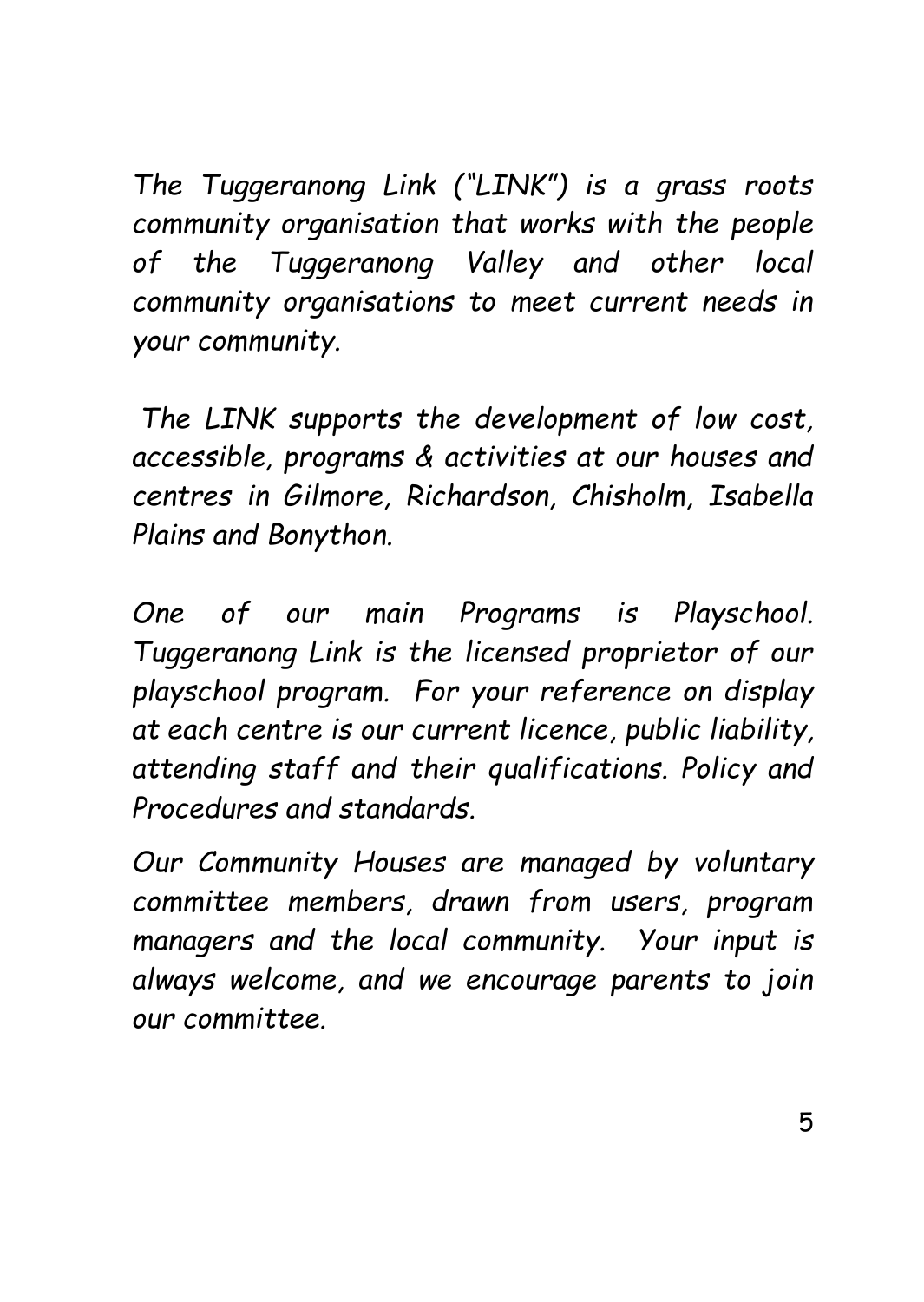*The Tuggeranong Link ("LINK") is a grass roots community organisation that works with the people of the Tuggeranong Valley and other local community organisations to meet current needs in your community.* 

*The LINK supports the development of low cost, accessible, programs & activities at our houses and centres in Gilmore, Richardson, Chisholm, Isabella Plains and Bonython.*

*One of our main Programs is Playschool. Tuggeranong Link is the licensed proprietor of our playschool program. For your reference on display at each centre is our current licence, public liability, attending staff and their qualifications. Policy and Procedures and standards.*

*Our Community Houses are managed by voluntary committee members, drawn from users, program managers and the local community. Your input is always welcome, and we encourage parents to join our committee.*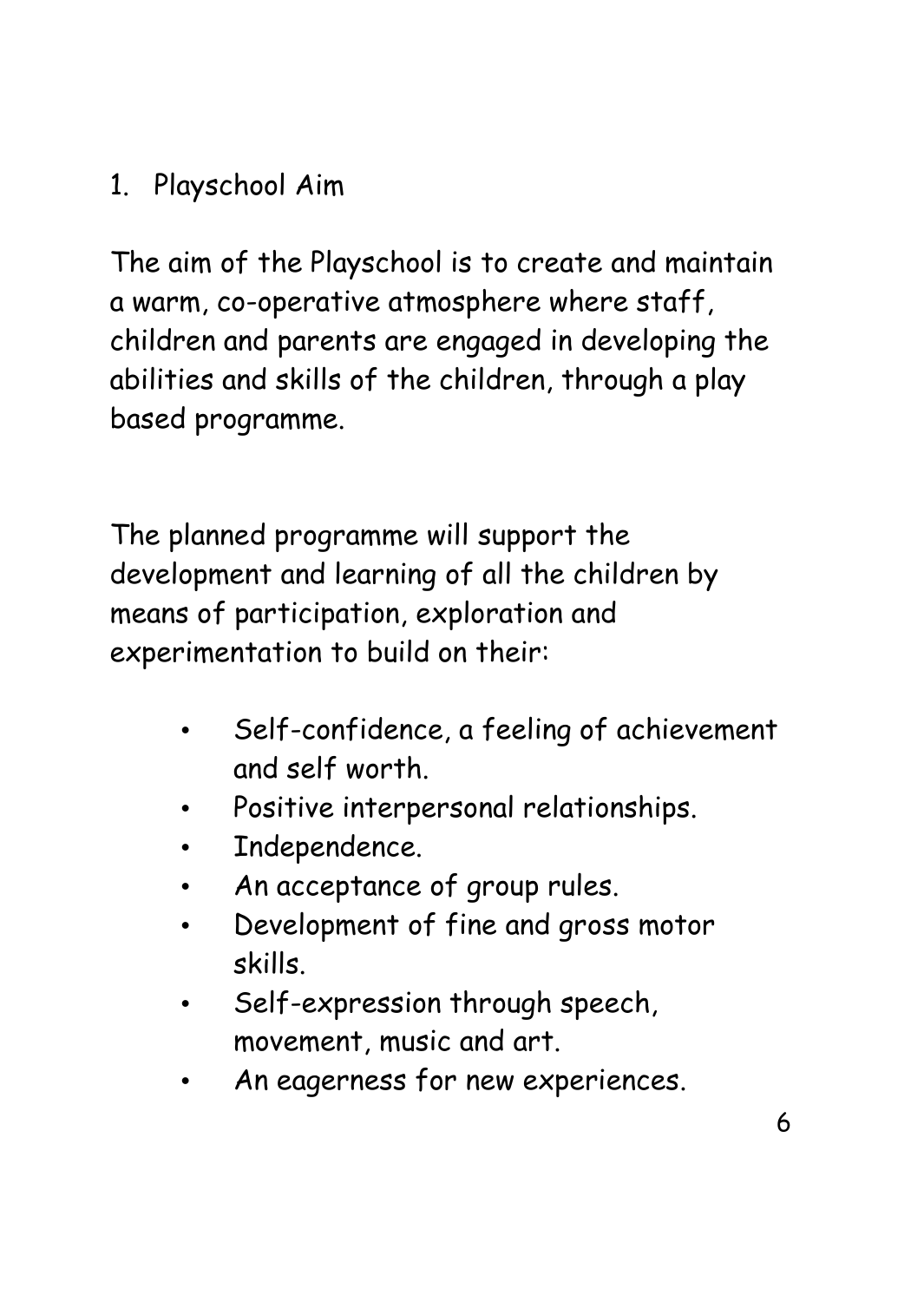## 1. Playschool Aim

The aim of the Playschool is to create and maintain a warm, co-operative atmosphere where staff, children and parents are engaged in developing the abilities and skills of the children, through a play based programme.

The planned programme will support the development and learning of all the children by means of participation, exploration and experimentation to build on their:

- Self-confidence, a feeling of achievement and self worth.
- Positive interpersonal relationships.
- Independence.
- An acceptance of group rules.
- Development of fine and gross motor skills.
- Self-expression through speech, movement, music and art.
- An eagerness for new experiences.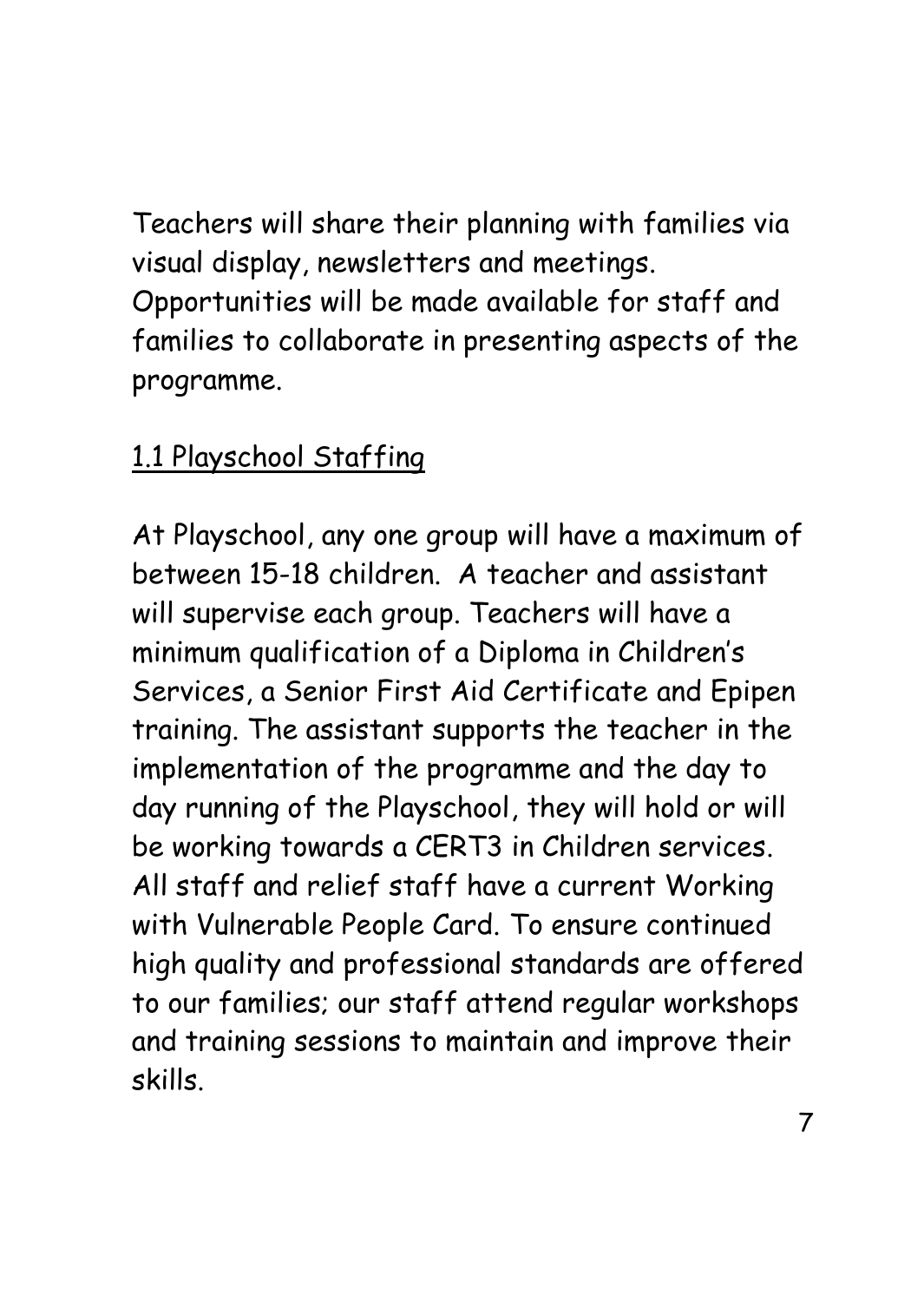Teachers will share their planning with families via visual display, newsletters and meetings. Opportunities will be made available for staff and families to collaborate in presenting aspects of the programme.

## 1.1 Playschool Staffing

At Playschool, any one group will have a maximum of between 15-18 children. A teacher and assistant will supervise each group. Teachers will have a minimum qualification of a Diploma in Children's Services, a Senior First Aid Certificate and Epipen training. The assistant supports the teacher in the implementation of the programme and the day to day running of the Playschool, they will hold or will be working towards a CERT3 in Children services. All staff and relief staff have a current Working with Vulnerable People Card. To ensure continued high quality and professional standards are offered to our families; our staff attend regular workshops and training sessions to maintain and improve their skills.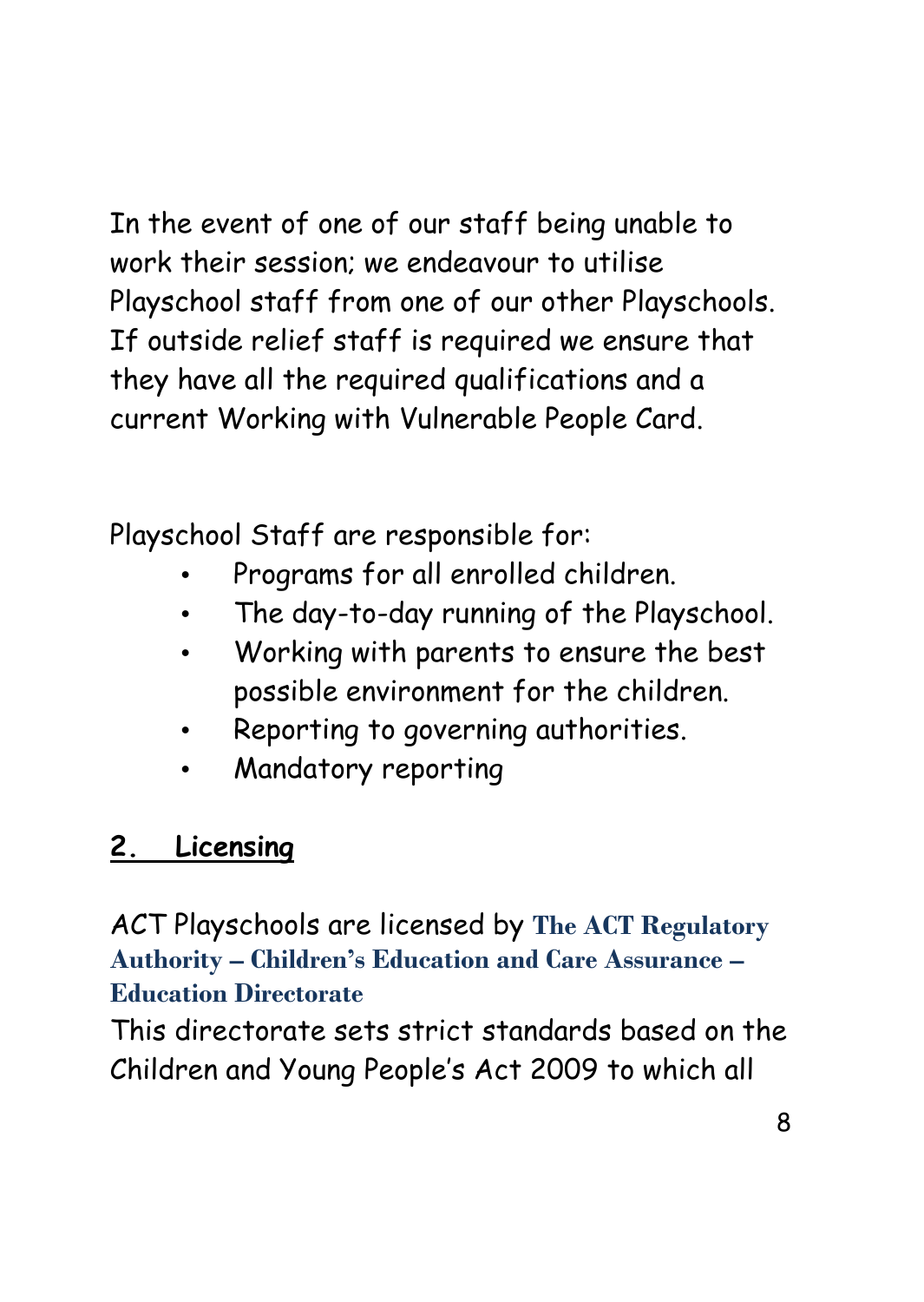In the event of one of our staff being unable to work their session; we endeavour to utilise Playschool staff from one of our other Playschools. If outside relief staff is required we ensure that they have all the required qualifications and a current Working with Vulnerable People Card.

Playschool Staff are responsible for:

- Programs for all enrolled children.
- The day-to-day running of the Playschool.
- Working with parents to ensure the best possible environment for the children.
- Reporting to governing authorities.
- Mandatory reporting

### **2. Licensing**

ACT Playschools are licensed by **The ACT Regulatory Authority – Children's Education and Care Assurance – Education Directorate**

This directorate sets strict standards based on the Children and Young People's Act 2009 to which all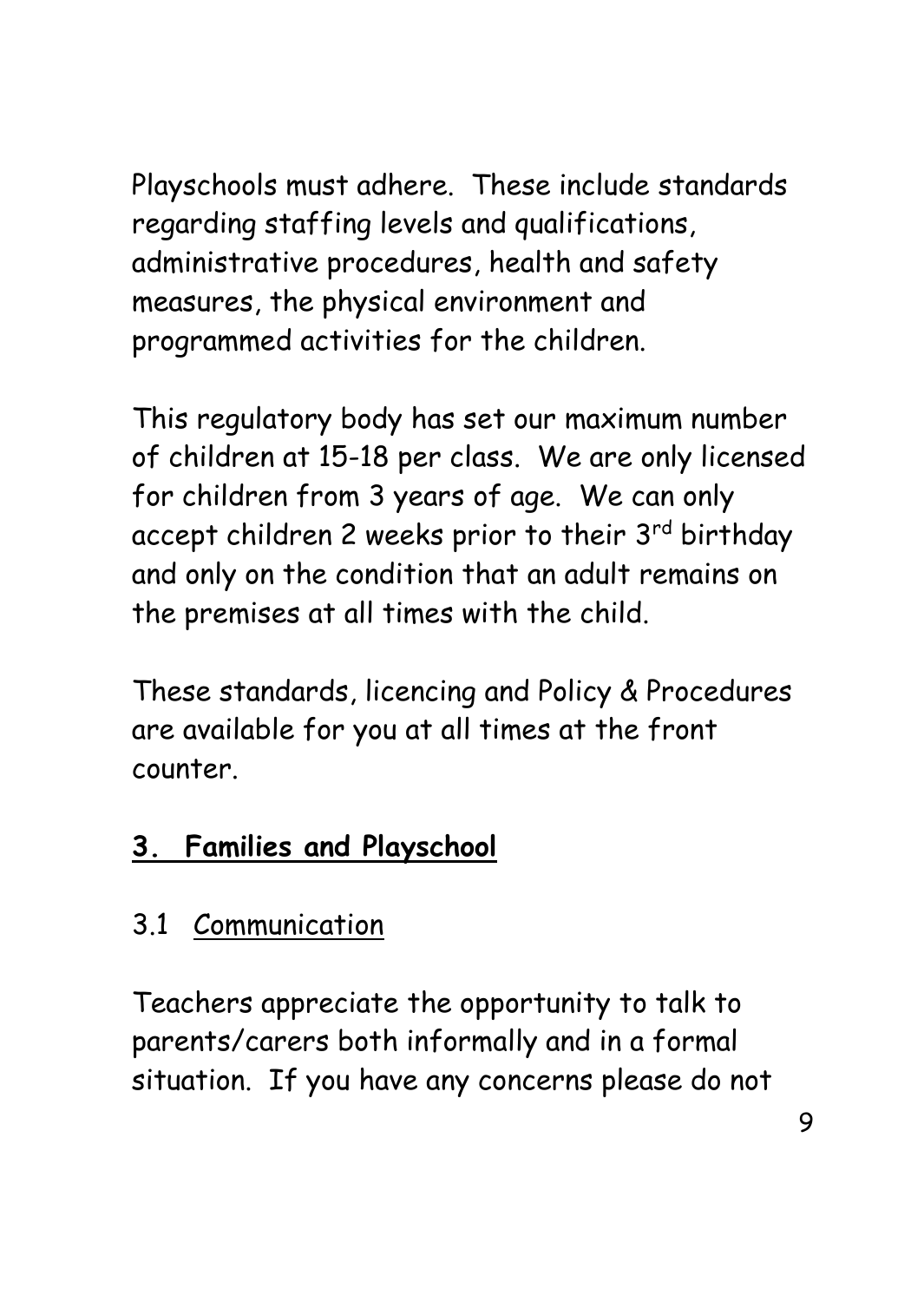Playschools must adhere. These include standards regarding staffing levels and qualifications, administrative procedures, health and safety measures, the physical environment and programmed activities for the children.

This regulatory body has set our maximum number of children at 15-18 per class. We are only licensed for children from 3 years of age. We can only accept children 2 weeks prior to their 3<sup>rd</sup> birthday and only on the condition that an adult remains on the premises at all times with the child.

These standards, licencing and Policy & Procedures are available for you at all times at the front counter.

### **3. Families and Playschool**

### 3.1 Communication

Teachers appreciate the opportunity to talk to parents/carers both informally and in a formal situation. If you have any concerns please do not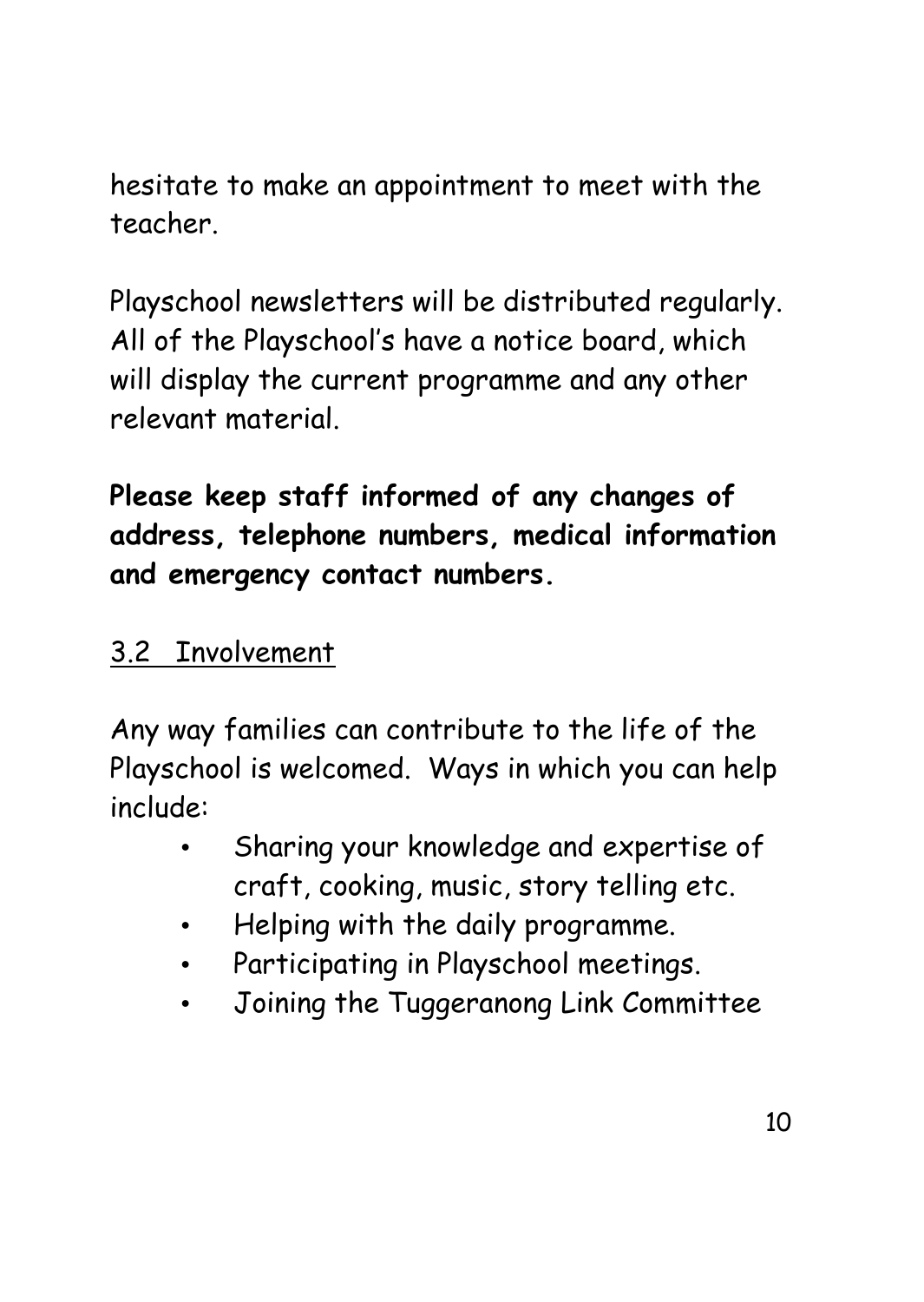hesitate to make an appointment to meet with the teacher.

Playschool newsletters will be distributed regularly. All of the Playschool's have a notice board, which will display the current programme and any other relevant material.

**Please keep staff informed of any changes of address, telephone numbers, medical information and emergency contact numbers.**

#### 3.2 Involvement

Any way families can contribute to the life of the Playschool is welcomed. Ways in which you can help include:

- Sharing your knowledge and expertise of craft, cooking, music, story telling etc.
- Helping with the daily programme.
- Participating in Playschool meetings.
- Joining the Tuggeranong Link Committee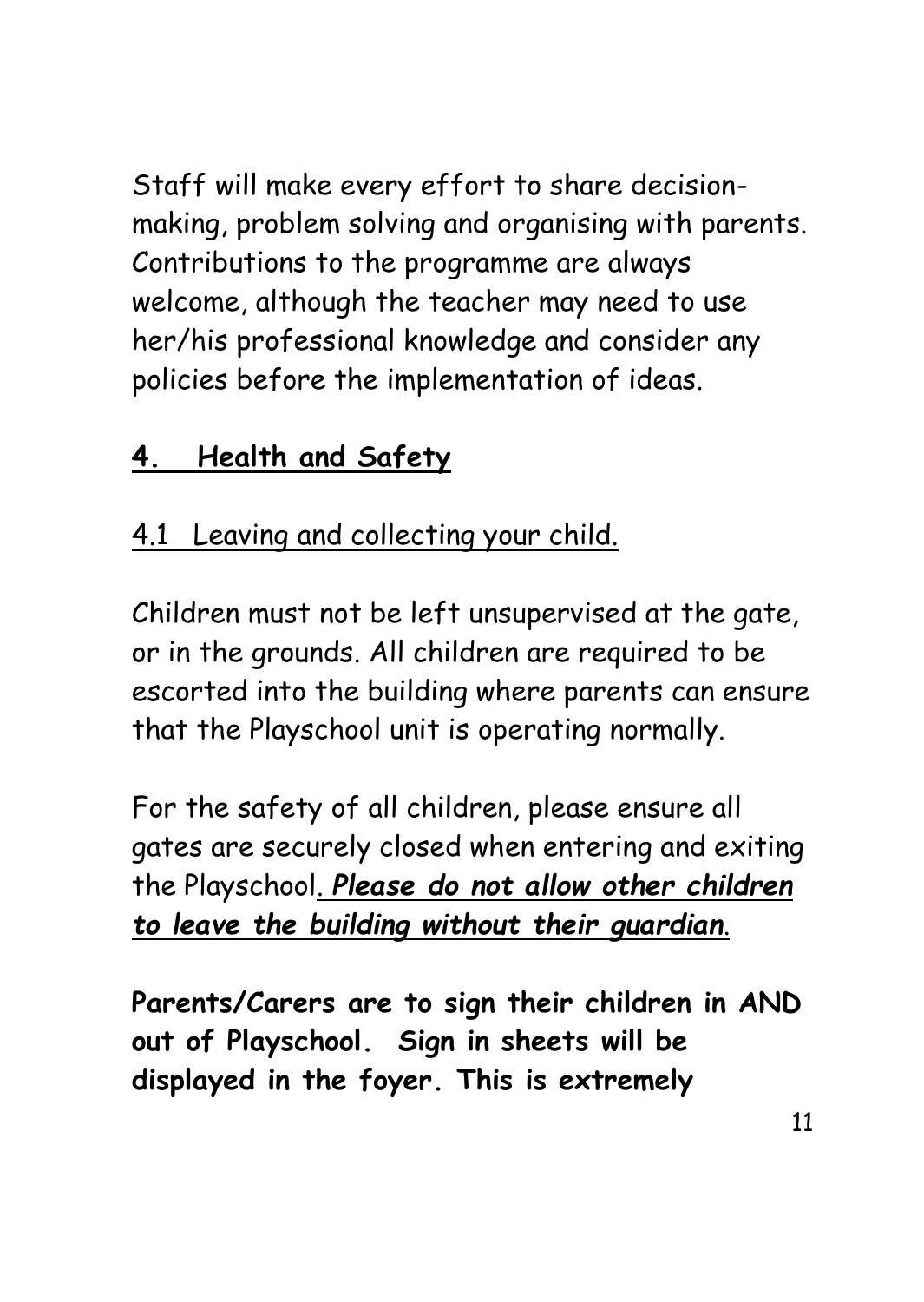Staff will make every effort to share decisionmaking, problem solving and organising with parents. Contributions to the programme are always welcome, although the teacher may need to use her/his professional knowledge and consider any policies before the implementation of ideas.

## **4. Health and Safety**

#### 4.1 Leaving and collecting your child.

Children must not be left unsupervised at the gate, or in the grounds. All children are required to be escorted into the building where parents can ensure that the Playschool unit is operating normally.

For the safety of all children, please ensure all gates are securely closed when entering and exiting the Playschool. *Please do not allow other children to leave the building without their guardian*.

**Parents/Carers are to sign their children in AND out of Playschool. Sign in sheets will be displayed in the foyer. This is extremely**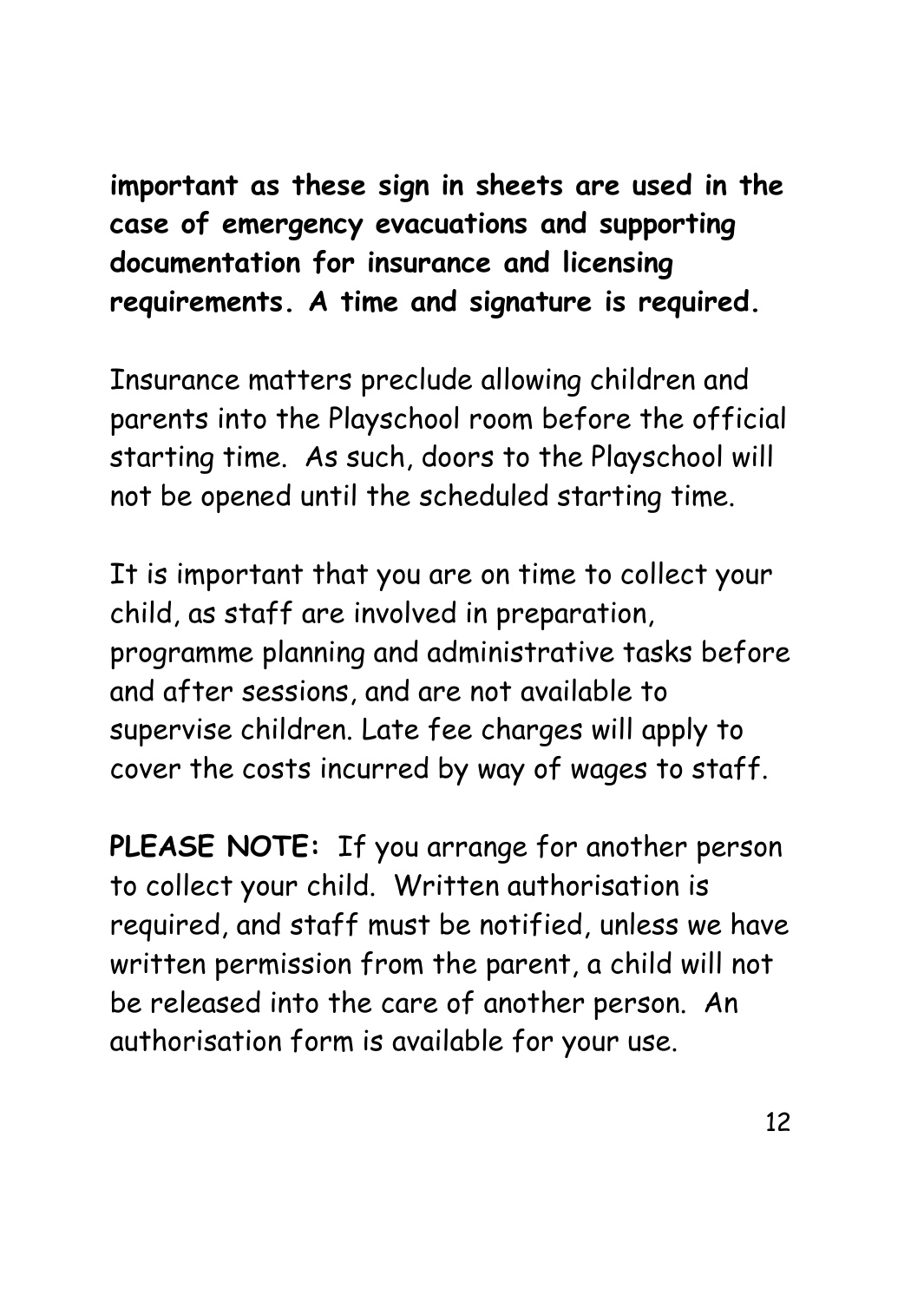**important as these sign in sheets are used in the case of emergency evacuations and supporting documentation for insurance and licensing requirements. A time and signature is required.**

Insurance matters preclude allowing children and parents into the Playschool room before the official starting time. As such, doors to the Playschool will not be opened until the scheduled starting time.

It is important that you are on time to collect your child, as staff are involved in preparation, programme planning and administrative tasks before and after sessions, and are not available to supervise children. Late fee charges will apply to cover the costs incurred by way of wages to staff.

**PLEASE NOTE:** If you arrange for another person to collect your child. Written authorisation is required, and staff must be notified, unless we have written permission from the parent, a child will not be released into the care of another person. An authorisation form is available for your use.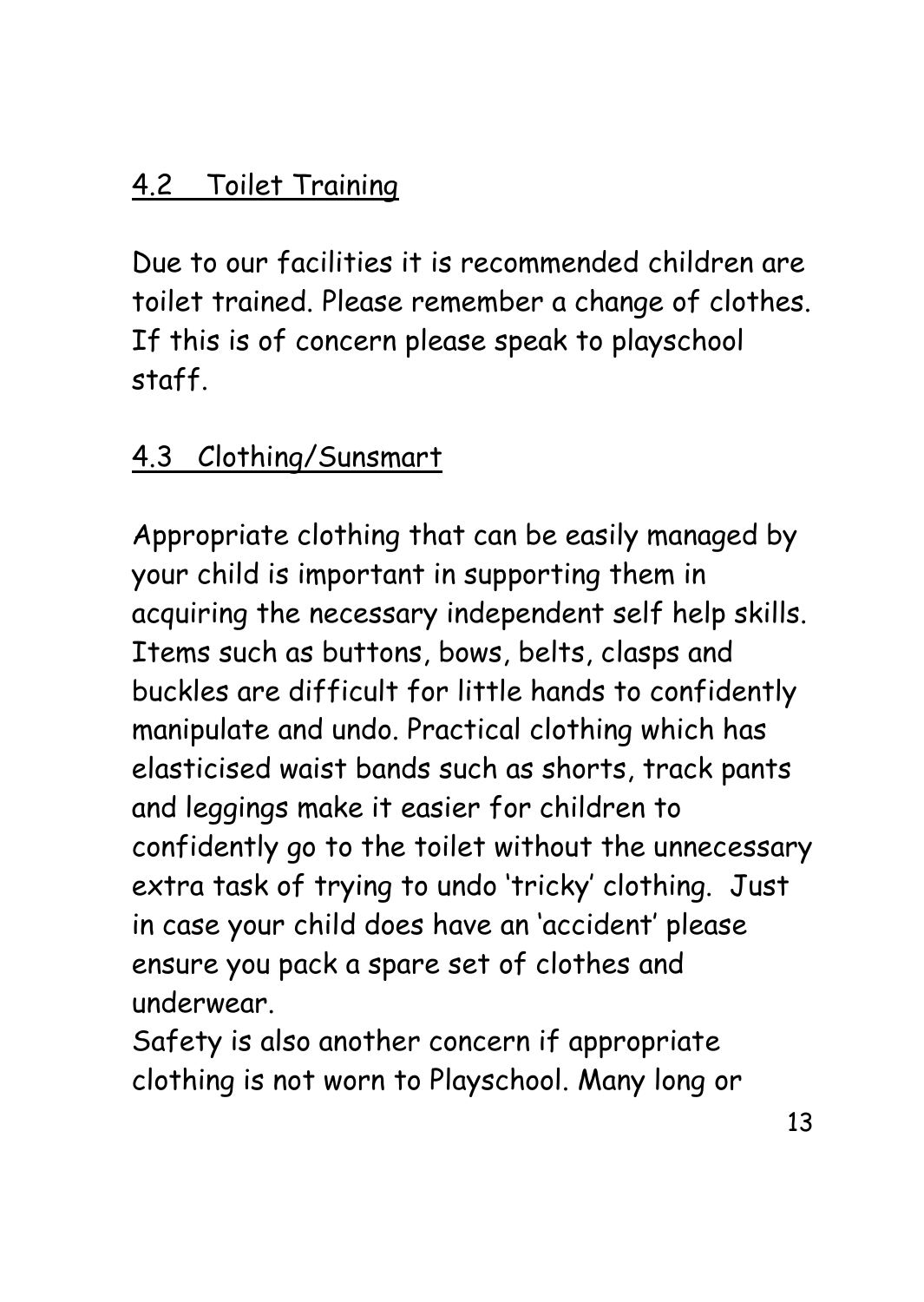#### 4.2 Toilet Training

Due to our facilities it is recommended children are toilet trained. Please remember a change of clothes. If this is of concern please speak to playschool staff.

#### 4.3 Clothing/Sunsmart

Appropriate clothing that can be easily managed by your child is important in supporting them in acquiring the necessary independent self help skills. Items such as buttons, bows, belts, clasps and buckles are difficult for little hands to confidently manipulate and undo. Practical clothing which has elasticised waist bands such as shorts, track pants and leggings make it easier for children to confidently go to the toilet without the unnecessary extra task of trying to undo 'tricky' clothing. Just in case your child does have an 'accident' please ensure you pack a spare set of clothes and underwear.

Safety is also another concern if appropriate clothing is not worn to Playschool. Many long or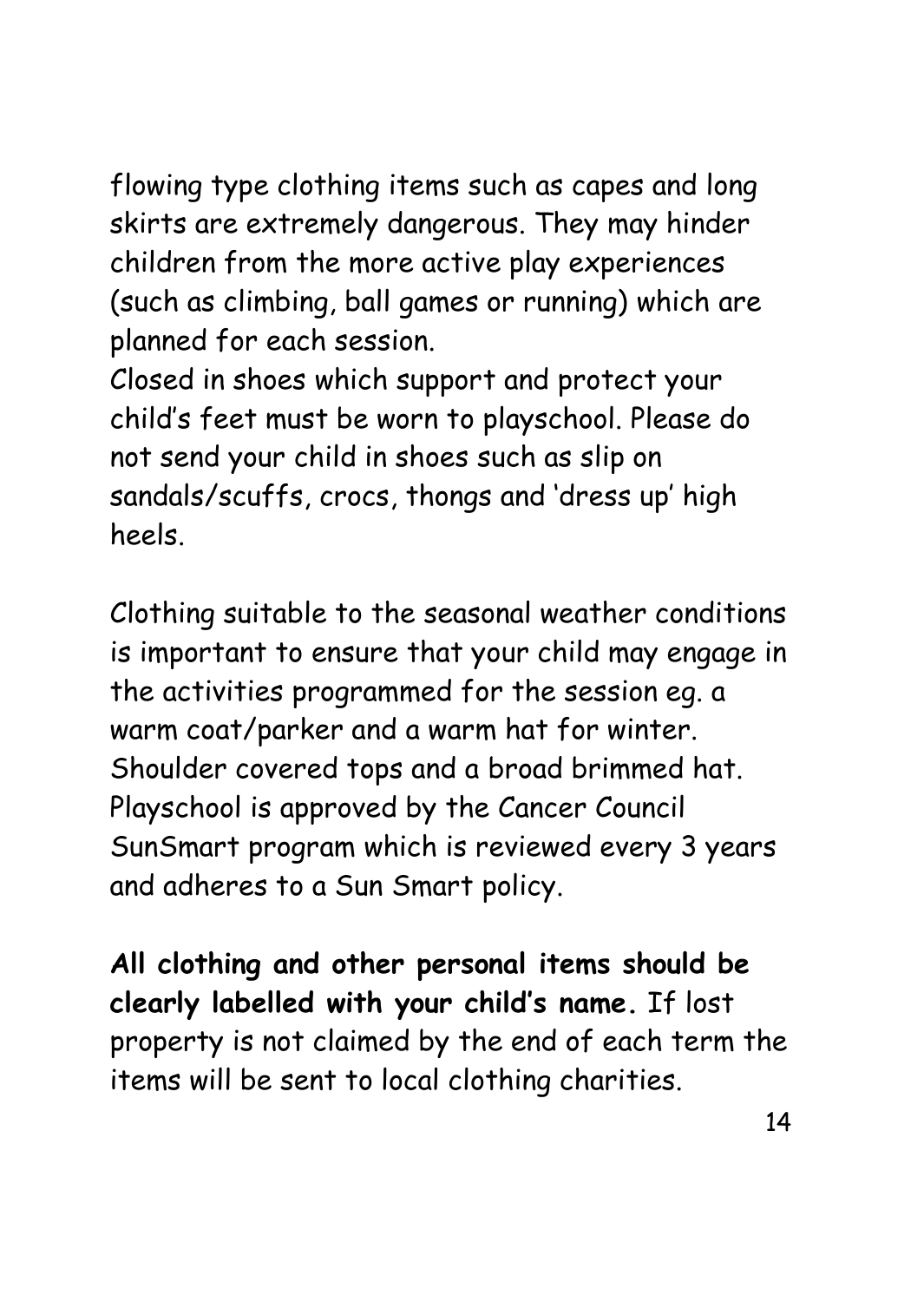flowing type clothing items such as capes and long skirts are extremely dangerous. They may hinder children from the more active play experiences (such as climbing, ball games or running) which are planned for each session.

Closed in shoes which support and protect your child's feet must be worn to playschool. Please do not send your child in shoes such as slip on sandals/scuffs, crocs, thongs and 'dress up' high heels.

Clothing suitable to the seasonal weather conditions is important to ensure that your child may engage in the activities programmed for the session eg. a warm coat/parker and a warm hat for winter. Shoulder covered tops and a broad brimmed hat. Playschool is approved by the Cancer Council SunSmart program which is reviewed every 3 years and adheres to a Sun Smart policy.

**All clothing and other personal items should be clearly labelled with your child's name.** If lost property is not claimed by the end of each term the items will be sent to local clothing charities.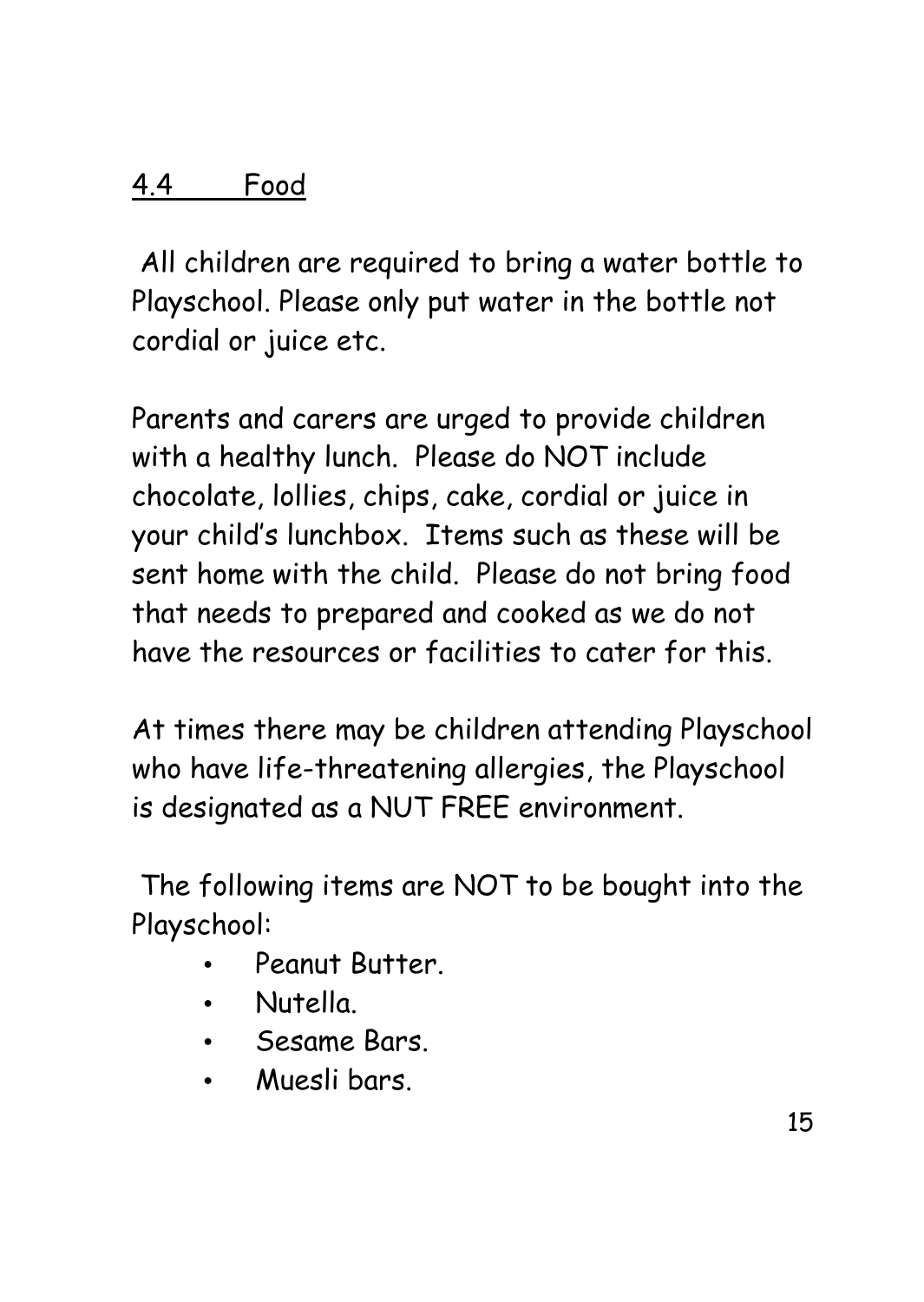#### 4.4 Food

All children are required to bring a water bottle to Playschool. Please only put water in the bottle not cordial or juice etc.

Parents and carers are urged to provide children with a healthy lunch. Please do NOT include chocolate, lollies, chips, cake, cordial or juice in your child's lunchbox. Items such as these will be sent home with the child. Please do not bring food that needs to prepared and cooked as we do not have the resources or facilities to cater for this.

At times there may be children attending Playschool who have life-threatening allergies, the Playschool is designated as a NUT FREE environment.

The following items are NOT to be bought into the Playschool:

- Peanut Butter.
- Nutella.
- Sesame Bars.
- Muesli bars.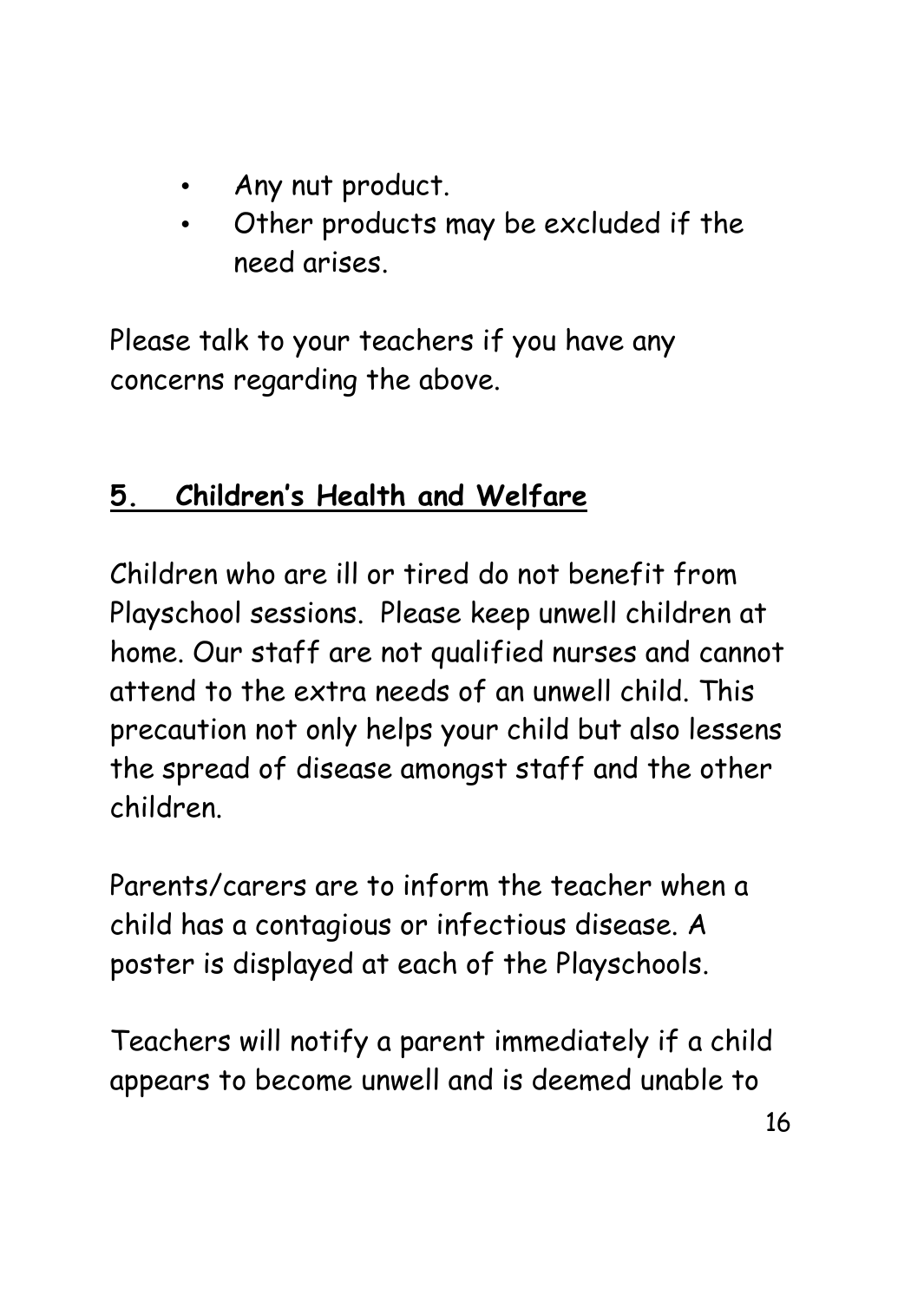- Any nut product.
- Other products may be excluded if the need arises.

Please talk to your teachers if you have any concerns regarding the above.

### **5. Children's Health and Welfare**

Children who are ill or tired do not benefit from Playschool sessions. Please keep unwell children at home. Our staff are not qualified nurses and cannot attend to the extra needs of an unwell child. This precaution not only helps your child but also lessens the spread of disease amongst staff and the other children.

Parents/carers are to inform the teacher when a child has a contagious or infectious disease. A poster is displayed at each of the Playschools.

Teachers will notify a parent immediately if a child appears to become unwell and is deemed unable to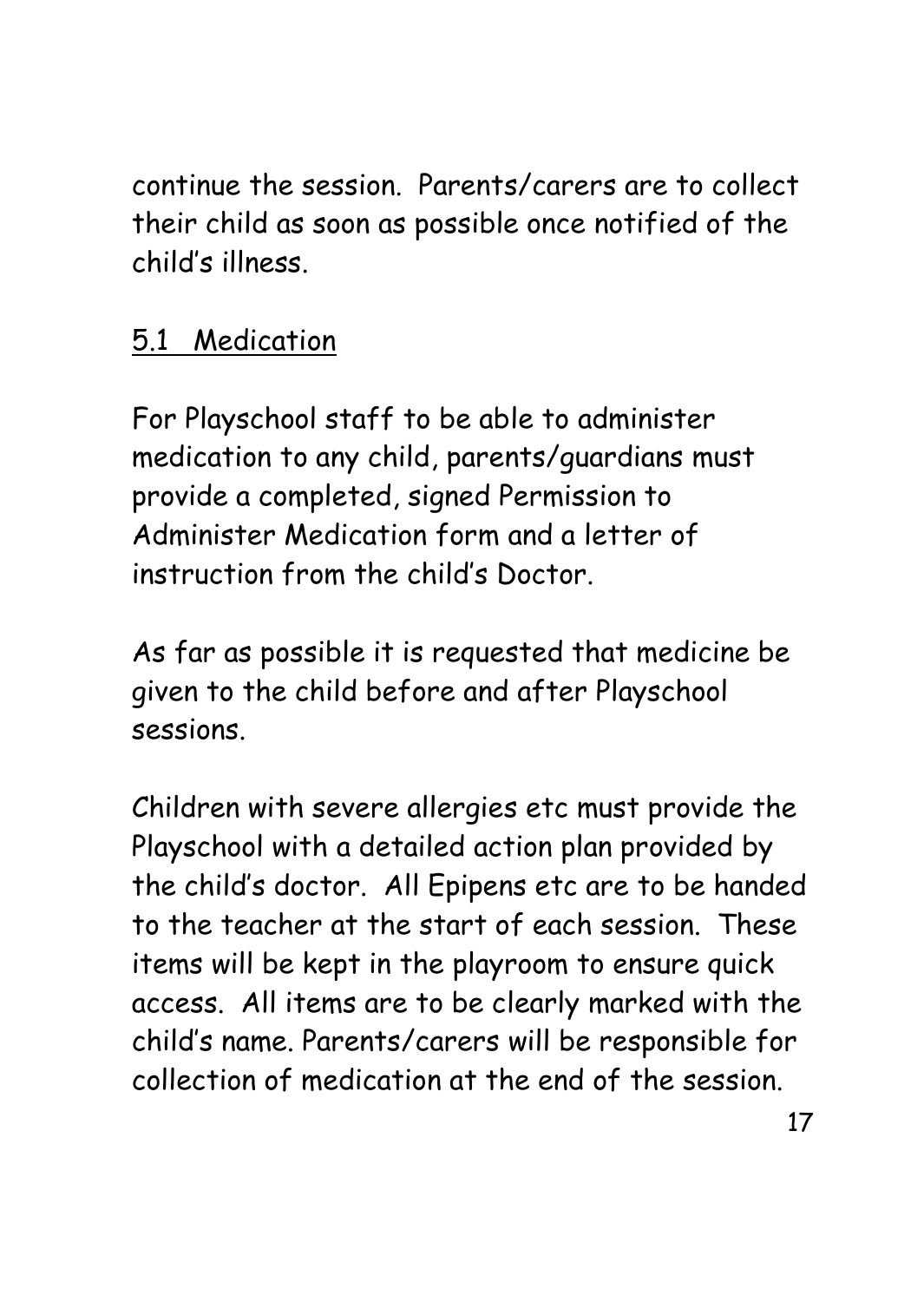continue the session. Parents/carers are to collect their child as soon as possible once notified of the child's illness.

#### 5.1 Medication

For Playschool staff to be able to administer medication to any child, parents/guardians must provide a completed, signed Permission to Administer Medication form and a letter of instruction from the child's Doctor.

As far as possible it is requested that medicine be given to the child before and after Playschool sessions.

Children with severe allergies etc must provide the Playschool with a detailed action plan provided by the child's doctor. All Epipens etc are to be handed to the teacher at the start of each session. These items will be kept in the playroom to ensure quick access. All items are to be clearly marked with the child's name. Parents/carers will be responsible for collection of medication at the end of the session.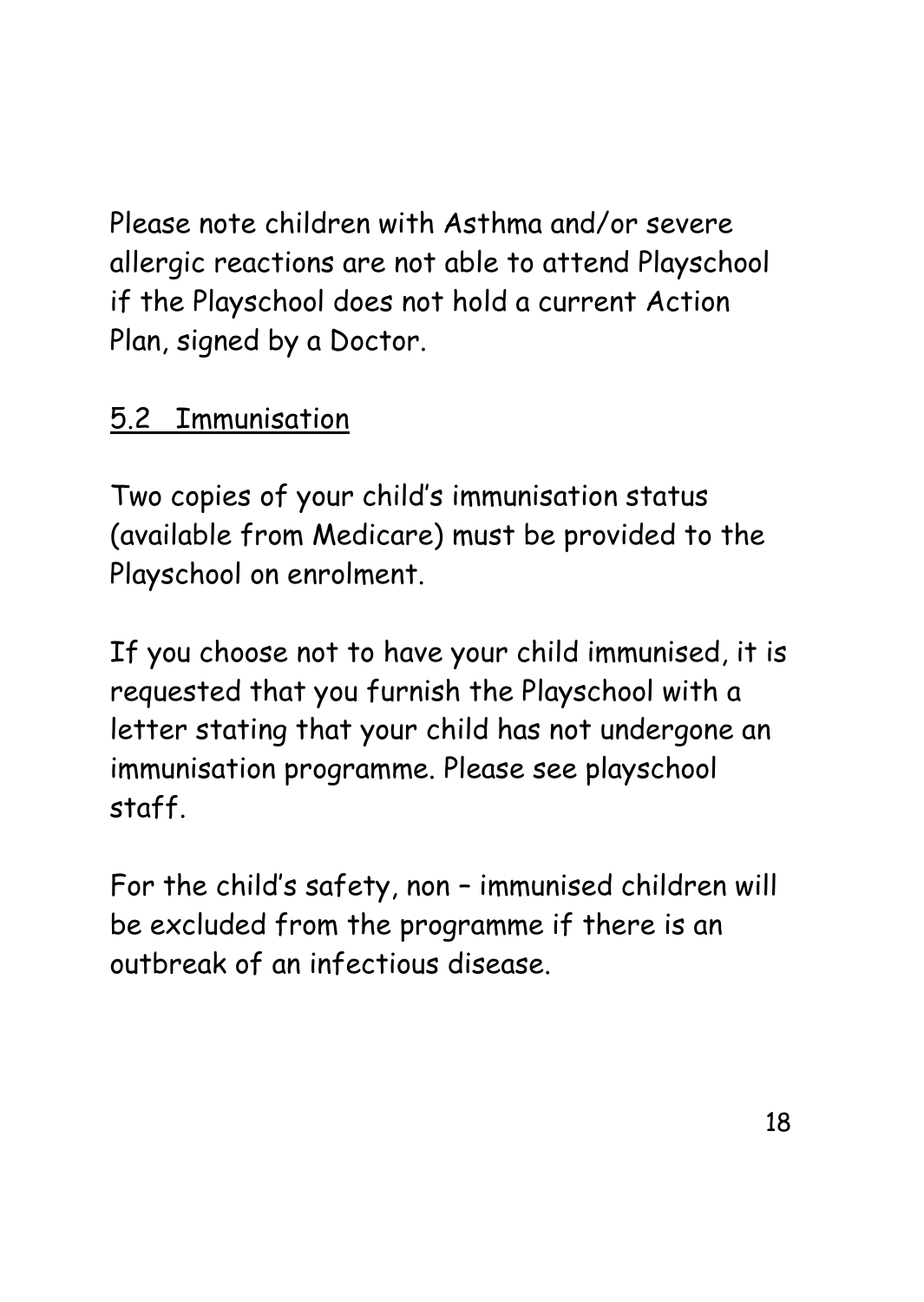Please note children with Asthma and/or severe allergic reactions are not able to attend Playschool if the Playschool does not hold a current Action Plan, signed by a Doctor.

#### 5.2 Immunisation

Two copies of your child's immunisation status (available from Medicare) must be provided to the Playschool on enrolment.

If you choose not to have your child immunised, it is requested that you furnish the Playschool with a letter stating that your child has not undergone an immunisation programme. Please see playschool staff.

For the child's safety, non – immunised children will be excluded from the programme if there is an outbreak of an infectious disease.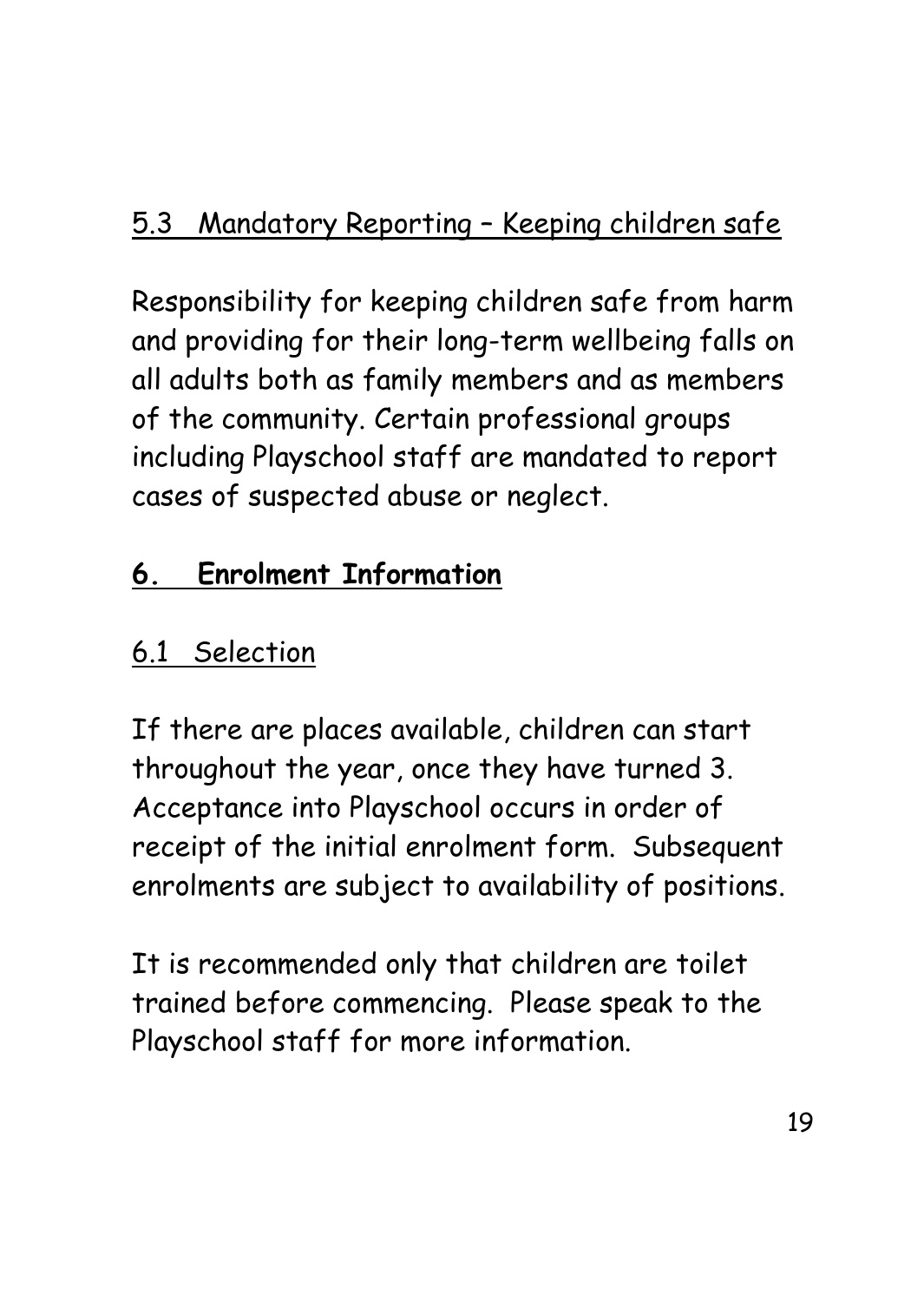Responsibility for keeping children safe from harm and providing for their long-term wellbeing falls on all adults both as family members and as members of the community. Certain professional groups including Playschool staff are mandated to report cases of suspected abuse or neglect.

## **6. Enrolment Information**

## 6.1 Selection

If there are places available, children can start throughout the year, once they have turned 3. Acceptance into Playschool occurs in order of receipt of the initial enrolment form. Subsequent enrolments are subject to availability of positions.

It is recommended only that children are toilet trained before commencing. Please speak to the Playschool staff for more information.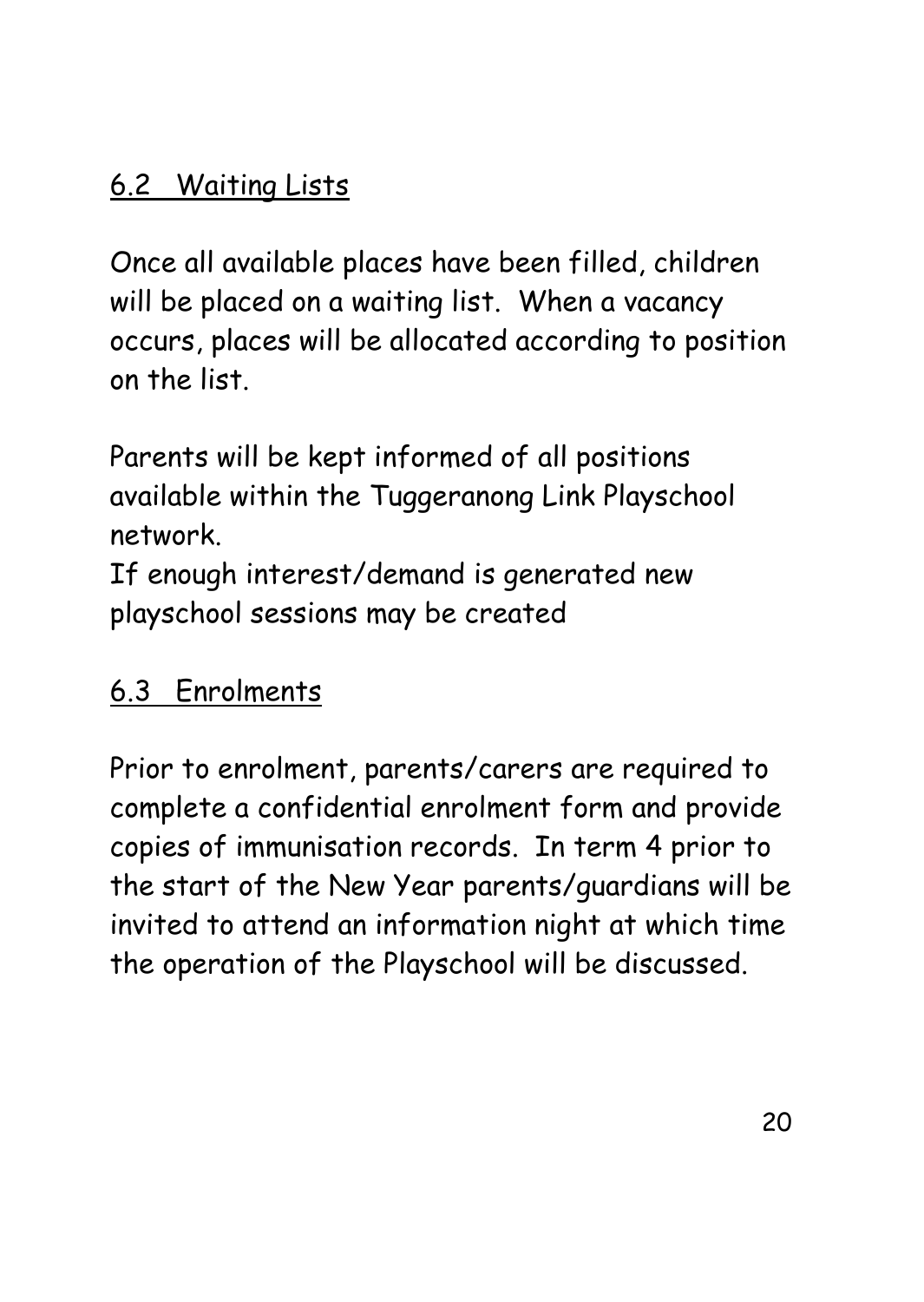#### 6.2 Waiting Lists

Once all available places have been filled, children will be placed on a waiting list. When a vacancy occurs, places will be allocated according to position on the list.

Parents will be kept informed of all positions available within the Tuggeranong Link Playschool network.

If enough interest/demand is generated new playschool sessions may be created

### 6.3 Enrolments

Prior to enrolment, parents/carers are required to complete a confidential enrolment form and provide copies of immunisation records. In term 4 prior to the start of the New Year parents/guardians will be invited to attend an information night at which time the operation of the Playschool will be discussed.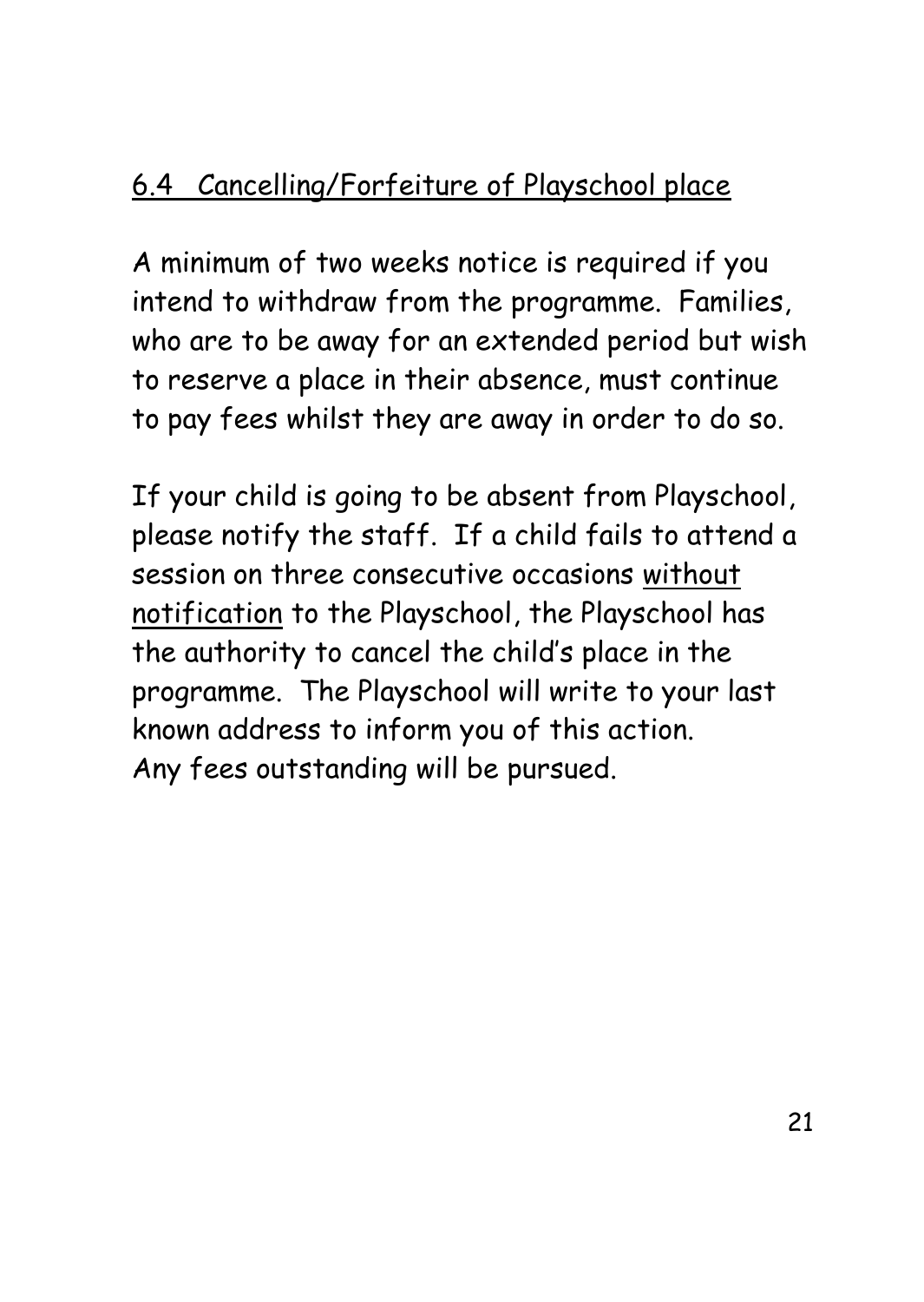## 6.4 Cancelling/Forfeiture of Playschool place

A minimum of two weeks notice is required if you intend to withdraw from the programme. Families, who are to be away for an extended period but wish to reserve a place in their absence, must continue to pay fees whilst they are away in order to do so.

If your child is going to be absent from Playschool, please notify the staff. If a child fails to attend a session on three consecutive occasions without notification to the Playschool, the Playschool has the authority to cancel the child's place in the programme. The Playschool will write to your last known address to inform you of this action. Any fees outstanding will be pursued.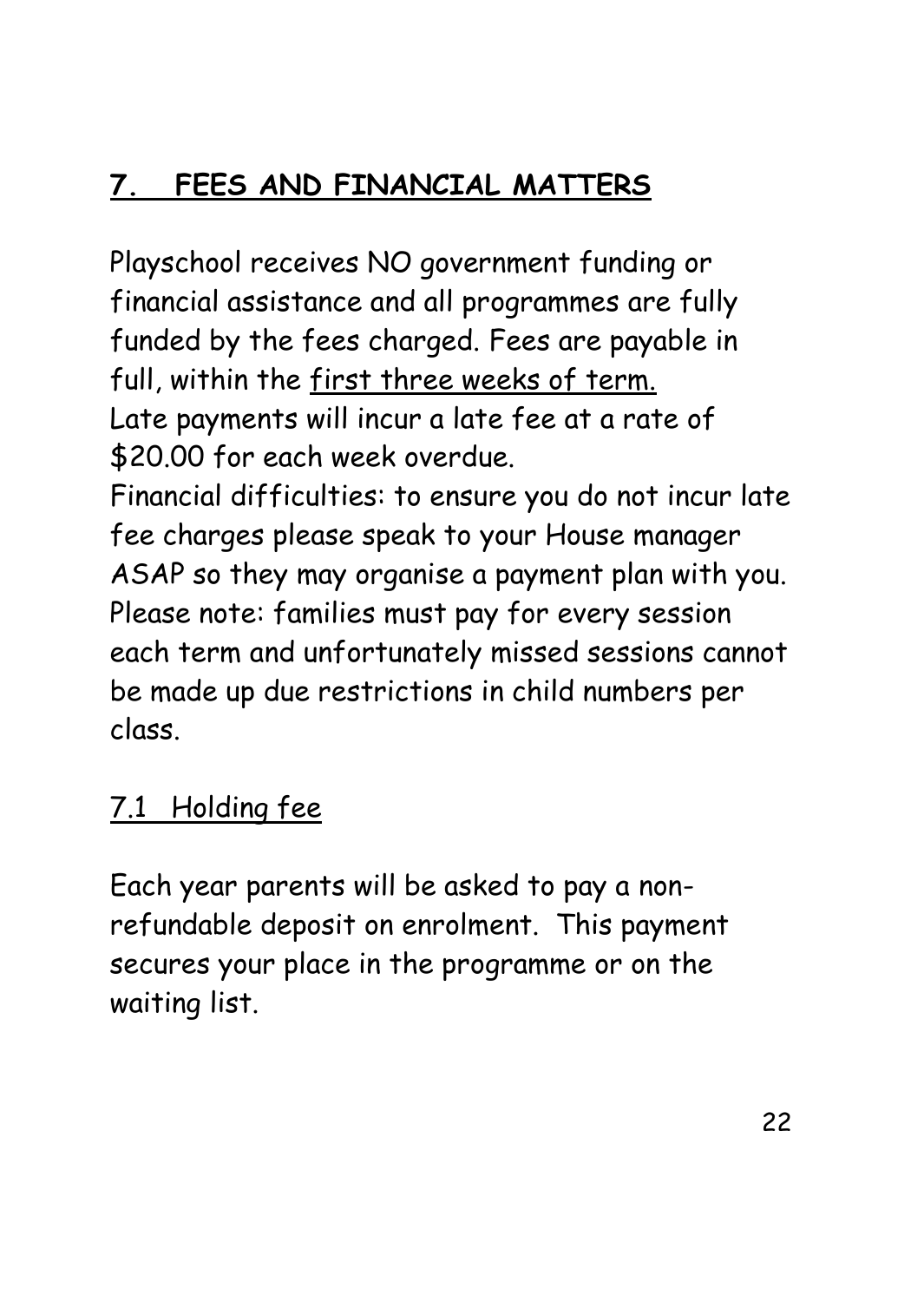## **7. FEES AND FINANCIAL MATTERS**

Playschool receives NO government funding or financial assistance and all programmes are fully funded by the fees charged. Fees are payable in full, within the first three weeks of term. Late payments will incur a late fee at a rate of \$20.00 for each week overdue.

Financial difficulties: to ensure you do not incur late fee charges please speak to your House manager ASAP so they may organise a payment plan with you. Please note: families must pay for every session each term and unfortunately missed sessions cannot be made up due restrictions in child numbers per class.

### 7.1 Holding fee

Each year parents will be asked to pay a nonrefundable deposit on enrolment. This payment secures your place in the programme or on the waiting list.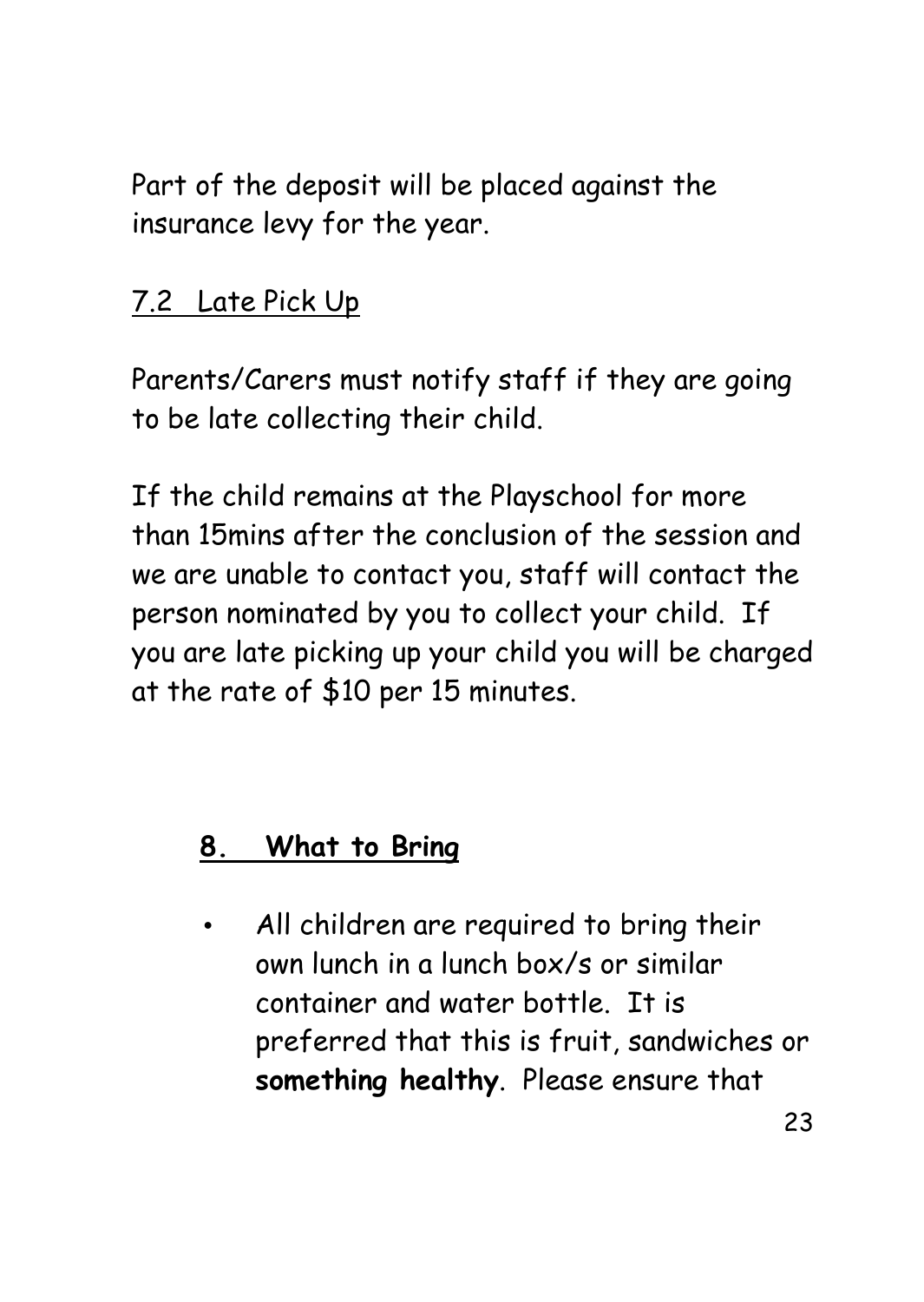Part of the deposit will be placed against the insurance levy for the year.

#### 7.2 Late Pick Up

Parents/Carers must notify staff if they are going to be late collecting their child.

If the child remains at the Playschool for more than 15mins after the conclusion of the session and we are unable to contact you, staff will contact the person nominated by you to collect your child. If you are late picking up your child you will be charged at the rate of \$10 per 15 minutes.

### **8. What to Bring**

• All children are required to bring their own lunch in a lunch box/s or similar container and water bottle. It is preferred that this is fruit, sandwiches or **something healthy**. Please ensure that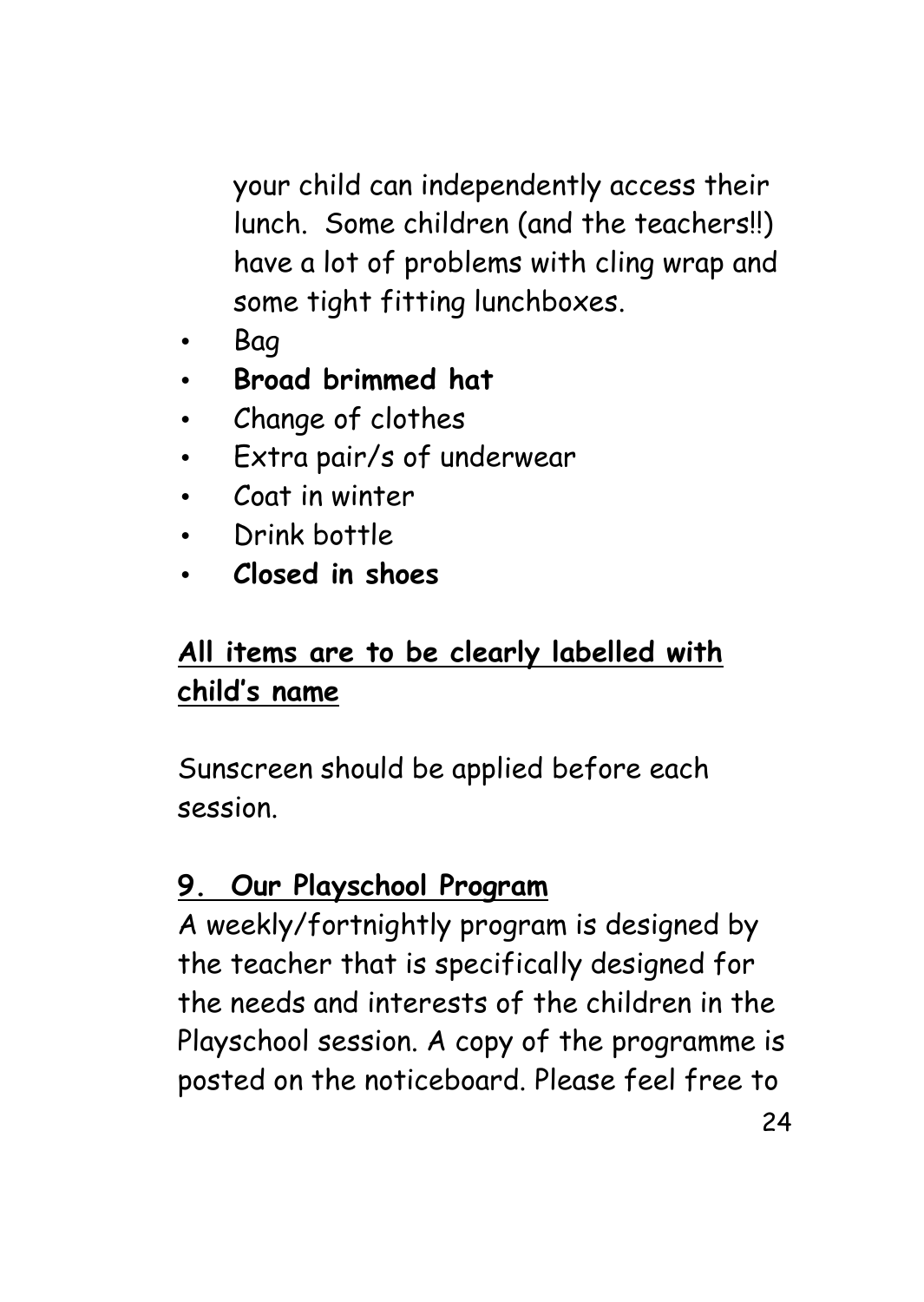your child can independently access their lunch. Some children (and the teachers!!) have a lot of problems with cling wrap and some tight fitting lunchboxes.

- Bag
- **Broad brimmed hat**
- Change of clothes
- Extra pair/s of underwear
- Coat in winter
- Drink bottle
- **Closed in shoes**

#### **All items are to be clearly labelled with child's name**

Sunscreen should be applied before each session.

### **9. Our Playschool Program**

A weekly/fortnightly program is designed by the teacher that is specifically designed for the needs and interests of the children in the Playschool session. A copy of the programme is posted on the noticeboard. Please feel free to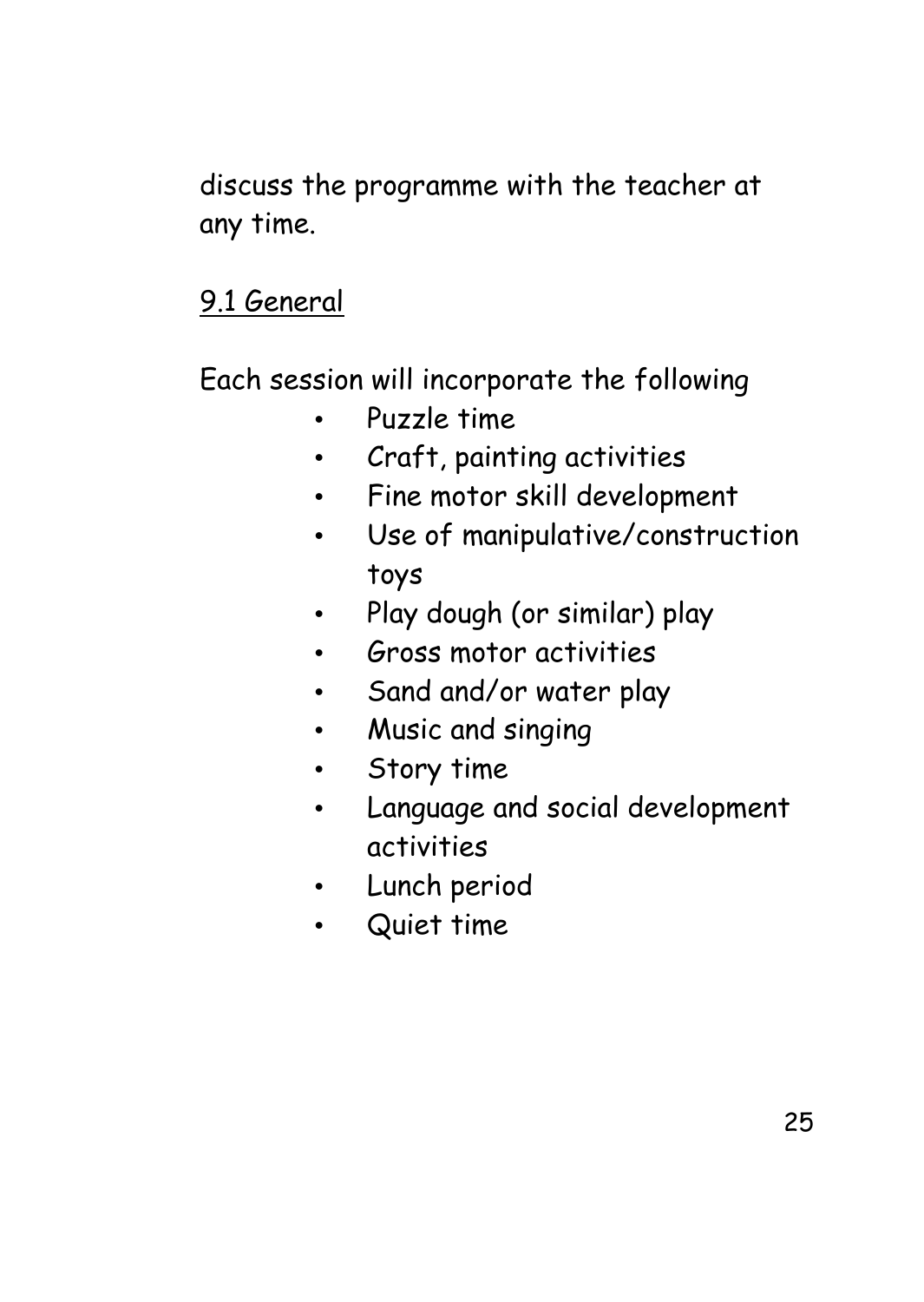discuss the programme with the teacher at any time.

### 9.1 General

Each session will incorporate the following

- Puzzle time
- Craft, painting activities
- Fine motor skill development
- Use of manipulative/construction toys
- Play dough (or similar) play
- Gross motor activities
- Sand and/or water play
- Music and singing
- Story time
- Language and social development activities
- Lunch period
- Quiet time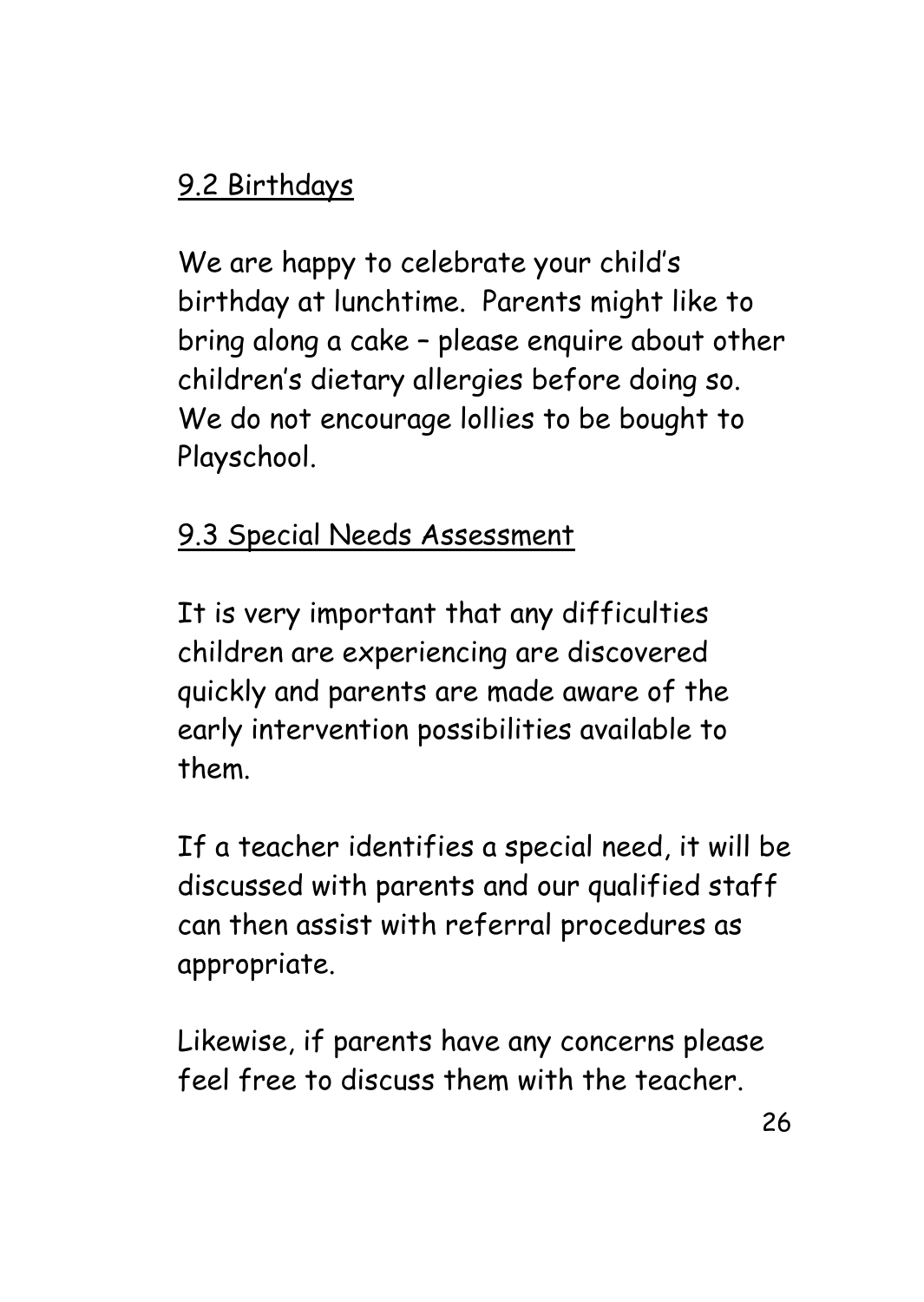## 9.2 Birthdays

We are happy to celebrate your child's birthday at lunchtime. Parents might like to bring along a cake – please enquire about other children's dietary allergies before doing so. We do not encourage lollies to be bought to Playschool.

#### 9.3 Special Needs Assessment

It is very important that any difficulties children are experiencing are discovered quickly and parents are made aware of the early intervention possibilities available to them.

If a teacher identifies a special need, it will be discussed with parents and our qualified staff can then assist with referral procedures as appropriate.

Likewise, if parents have any concerns please feel free to discuss them with the teacher.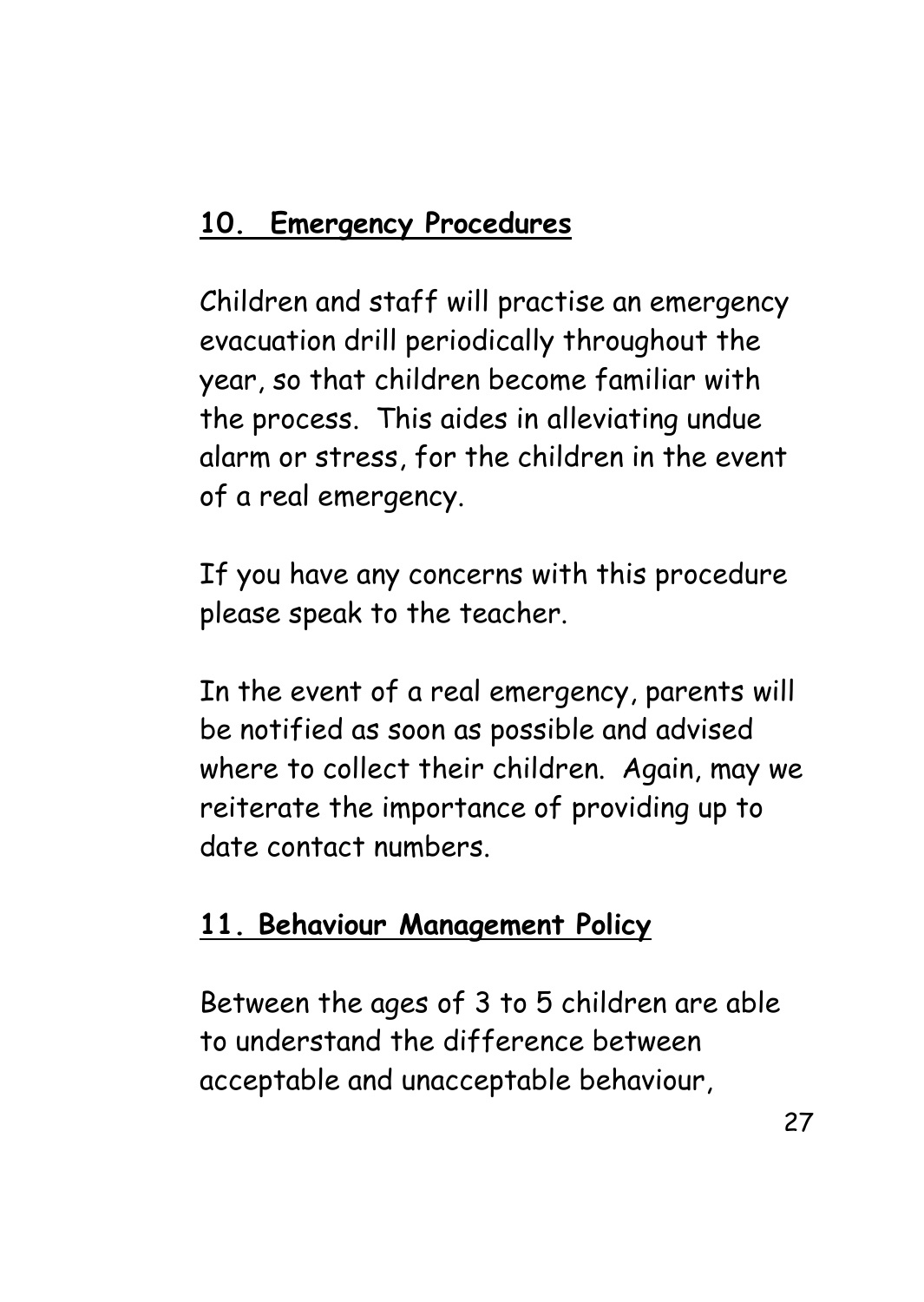## **10. Emergency Procedures**

Children and staff will practise an emergency evacuation drill periodically throughout the year, so that children become familiar with the process. This aides in alleviating undue alarm or stress, for the children in the event of a real emergency.

If you have any concerns with this procedure please speak to the teacher.

In the event of a real emergency, parents will be notified as soon as possible and advised where to collect their children. Again, may we reiterate the importance of providing up to date contact numbers.

#### **11. Behaviour Management Policy**

Between the ages of 3 to 5 children are able to understand the difference between acceptable and unacceptable behaviour,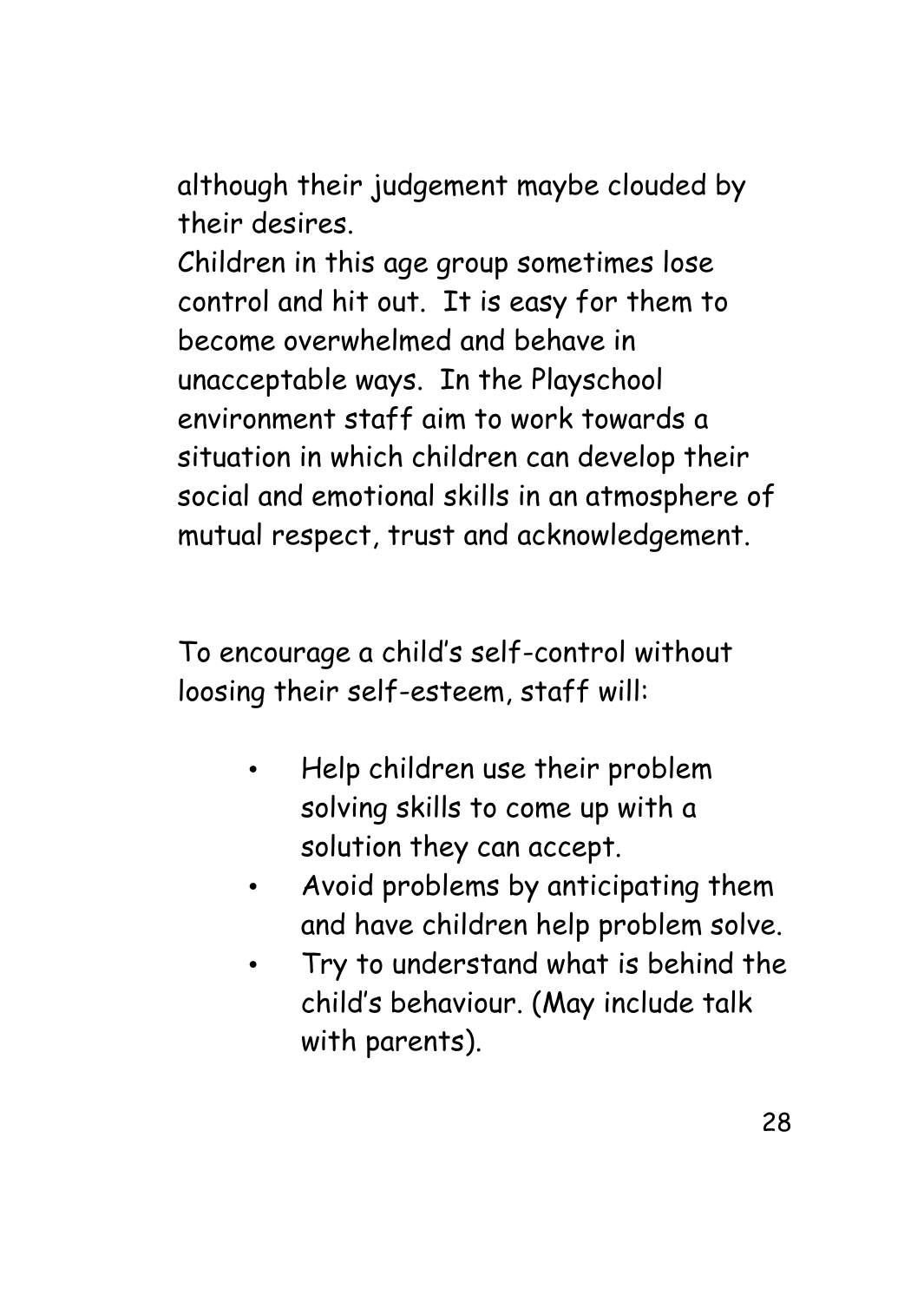although their judgement maybe clouded by their desires.

Children in this age group sometimes lose control and hit out. It is easy for them to become overwhelmed and behave in unacceptable ways. In the Playschool environment staff aim to work towards a situation in which children can develop their social and emotional skills in an atmosphere of mutual respect, trust and acknowledgement.

To encourage a child's self-control without loosing their self-esteem, staff will:

- Help children use their problem solving skills to come up with a solution they can accept.
- Avoid problems by anticipating them and have children help problem solve.
- Try to understand what is behind the child's behaviour. (May include talk with parents).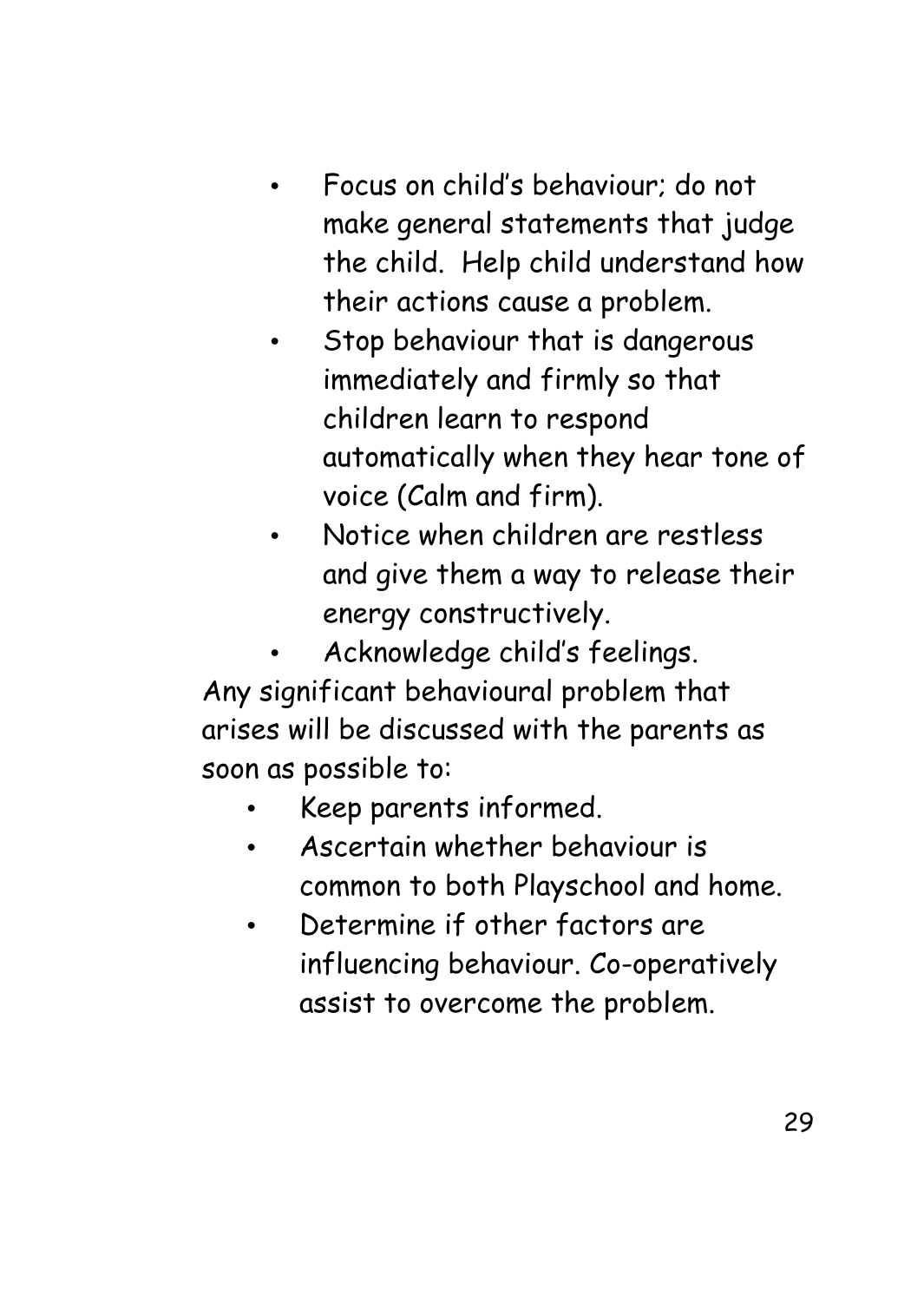- Focus on child's behaviour; do not make general statements that judge the child. Help child understand how their actions cause a problem.
- Stop behaviour that is dangerous immediately and firmly so that children learn to respond automatically when they hear tone of voice (Calm and firm).
- Notice when children are restless and give them a way to release their energy constructively.
- Acknowledge child's feelings. Any significant behavioural problem that arises will be discussed with the parents as soon as possible to:
	- Keep parents informed.
	- Ascertain whether behaviour is common to both Playschool and home.
	- Determine if other factors are influencing behaviour. Co-operatively assist to overcome the problem.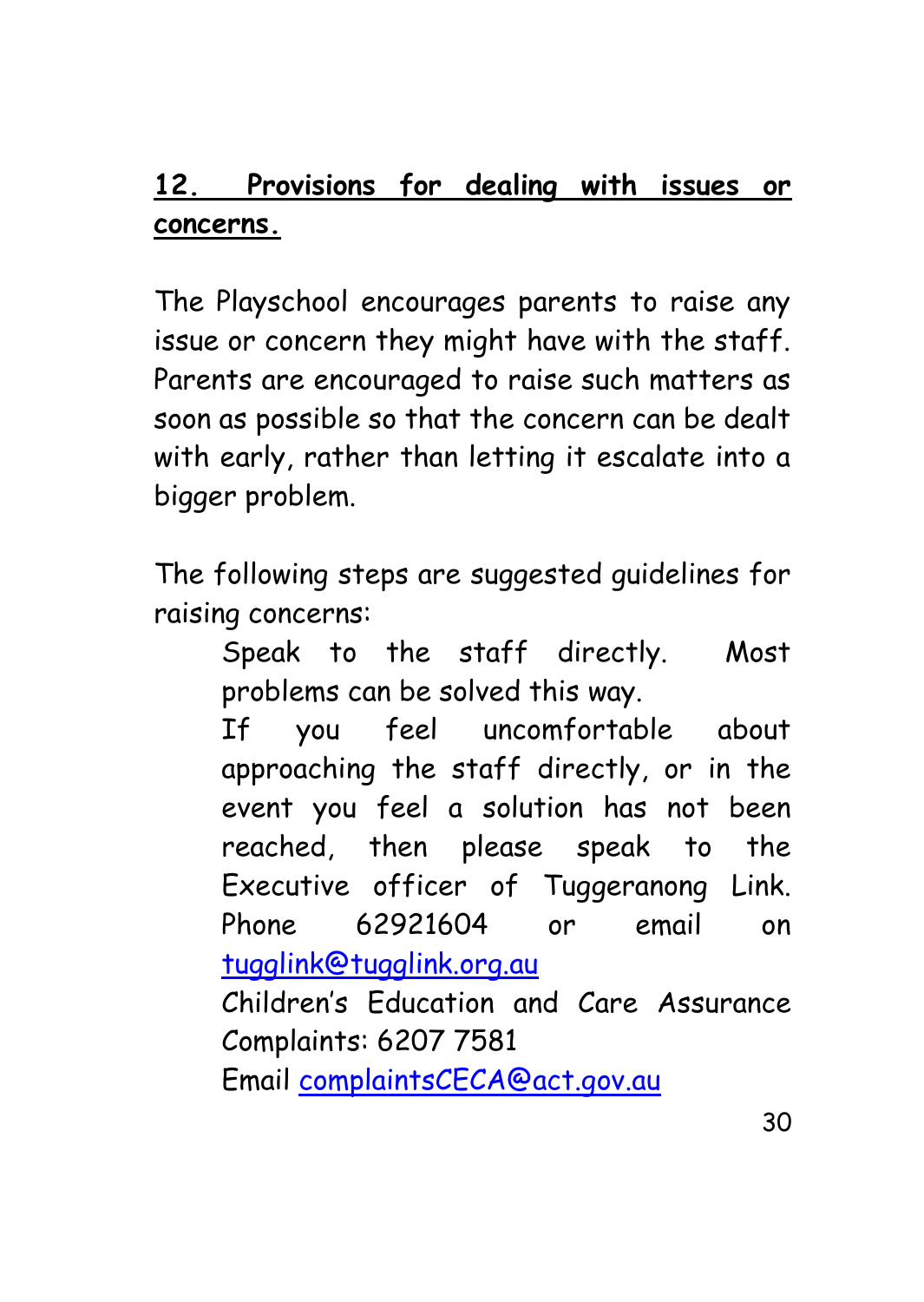### **12. Provisions for dealing with issues or concerns.**

The Playschool encourages parents to raise any issue or concern they might have with the staff. Parents are encouraged to raise such matters as soon as possible so that the concern can be dealt with early, rather than letting it escalate into a bigger problem.

The following steps are suggested guidelines for raising concerns:

> Speak to the staff directly. Most problems can be solved this way.

> If you feel uncomfortable about approaching the staff directly, or in the event you feel a solution has not been reached, then please speak to the Executive officer of Tuggeranong Link. Phone 62921604 or email on [tugglink@tugglink.org.au](mailto:tugglink@tugglink.org.au)

> Children's Education and Care Assurance Complaints: 6207 7581

Email [complaintsCECA@act.gov.au](mailto:complaintsCECA@act.gov.au)